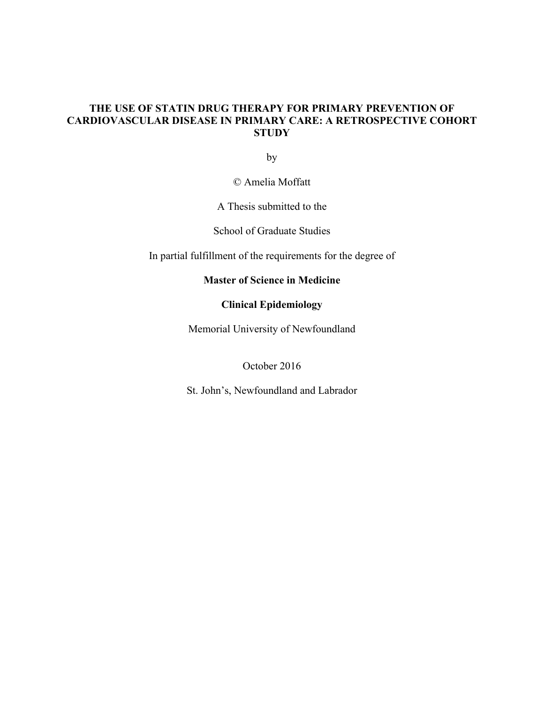### **THE USE OF STATIN DRUG THERAPY FOR PRIMARY PREVENTION OF CARDIOVASCULAR DISEASE IN PRIMARY CARE: A RETROSPECTIVE COHORT STUDY**

by

© Amelia Moffatt

A Thesis submitted to the

School of Graduate Studies

In partial fulfillment of the requirements for the degree of

### **Master of Science in Medicine**

### **Clinical Epidemiology**

Memorial University of Newfoundland

October 2016

St. John's, Newfoundland and Labrador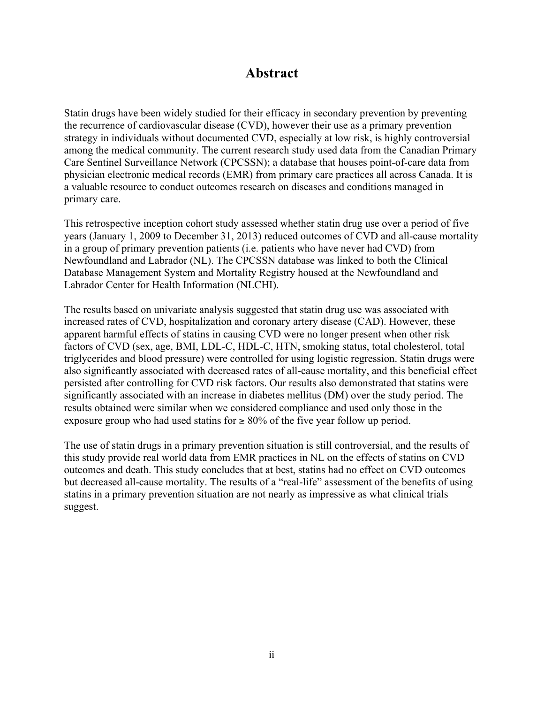# **Abstract**

Statin drugs have been widely studied for their efficacy in secondary prevention by preventing the recurrence of cardiovascular disease (CVD), however their use as a primary prevention strategy in individuals without documented CVD, especially at low risk, is highly controversial among the medical community. The current research study used data from the Canadian Primary Care Sentinel Surveillance Network (CPCSSN); a database that houses point-of-care data from physician electronic medical records (EMR) from primary care practices all across Canada. It is a valuable resource to conduct outcomes research on diseases and conditions managed in primary care.

This retrospective inception cohort study assessed whether statin drug use over a period of five years (January 1, 2009 to December 31, 2013) reduced outcomes of CVD and all-cause mortality in a group of primary prevention patients (i.e. patients who have never had CVD) from Newfoundland and Labrador (NL). The CPCSSN database was linked to both the Clinical Database Management System and Mortality Registry housed at the Newfoundland and Labrador Center for Health Information (NLCHI).

The results based on univariate analysis suggested that statin drug use was associated with increased rates of CVD, hospitalization and coronary artery disease (CAD). However, these apparent harmful effects of statins in causing CVD were no longer present when other risk factors of CVD (sex, age, BMI, LDL-C, HDL-C, HTN, smoking status, total cholesterol, total triglycerides and blood pressure) were controlled for using logistic regression. Statin drugs were also significantly associated with decreased rates of all-cause mortality, and this beneficial effect persisted after controlling for CVD risk factors. Our results also demonstrated that statins were significantly associated with an increase in diabetes mellitus (DM) over the study period. The results obtained were similar when we considered compliance and used only those in the exposure group who had used statins for  $\geq 80\%$  of the five year follow up period.

The use of statin drugs in a primary prevention situation is still controversial, and the results of this study provide real world data from EMR practices in NL on the effects of statins on CVD outcomes and death. This study concludes that at best, statins had no effect on CVD outcomes but decreased all-cause mortality. The results of a "real-life" assessment of the benefits of using statins in a primary prevention situation are not nearly as impressive as what clinical trials suggest.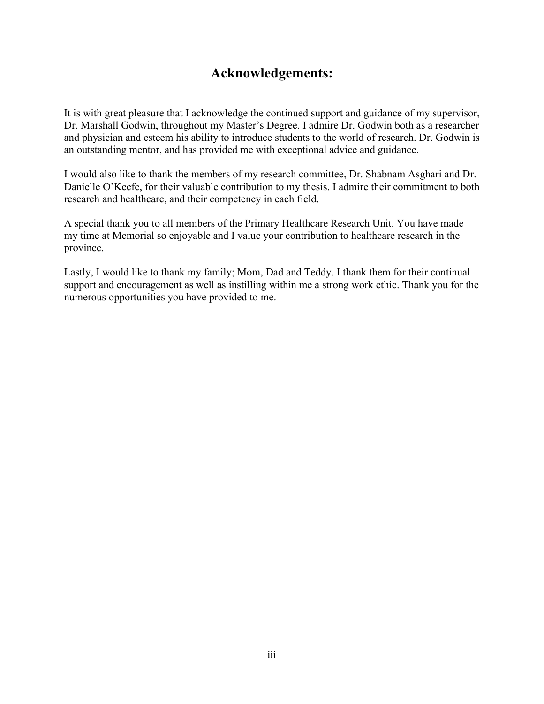# **Acknowledgements:**

It is with great pleasure that I acknowledge the continued support and guidance of my supervisor, Dr. Marshall Godwin, throughout my Master's Degree. I admire Dr. Godwin both as a researcher and physician and esteem his ability to introduce students to the world of research. Dr. Godwin is an outstanding mentor, and has provided me with exceptional advice and guidance.

I would also like to thank the members of my research committee, Dr. Shabnam Asghari and Dr. Danielle O'Keefe, for their valuable contribution to my thesis. I admire their commitment to both research and healthcare, and their competency in each field.

A special thank you to all members of the Primary Healthcare Research Unit. You have made my time at Memorial so enjoyable and I value your contribution to healthcare research in the province.

Lastly, I would like to thank my family; Mom, Dad and Teddy. I thank them for their continual support and encouragement as well as instilling within me a strong work ethic. Thank you for the numerous opportunities you have provided to me.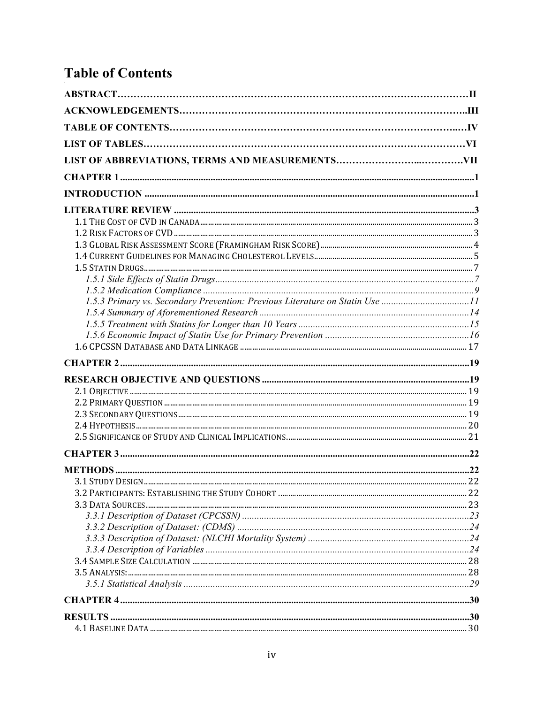# **Table of Contents**

| 1.5.3 Primary vs. Secondary Prevention: Previous Literature on Statin Use 11 |  |
|------------------------------------------------------------------------------|--|
|                                                                              |  |
|                                                                              |  |
|                                                                              |  |
|                                                                              |  |
|                                                                              |  |
|                                                                              |  |
|                                                                              |  |
|                                                                              |  |
|                                                                              |  |
|                                                                              |  |
|                                                                              |  |
|                                                                              |  |
|                                                                              |  |
|                                                                              |  |
|                                                                              |  |
|                                                                              |  |
|                                                                              |  |
|                                                                              |  |
|                                                                              |  |
|                                                                              |  |
|                                                                              |  |
|                                                                              |  |
|                                                                              |  |
|                                                                              |  |
|                                                                              |  |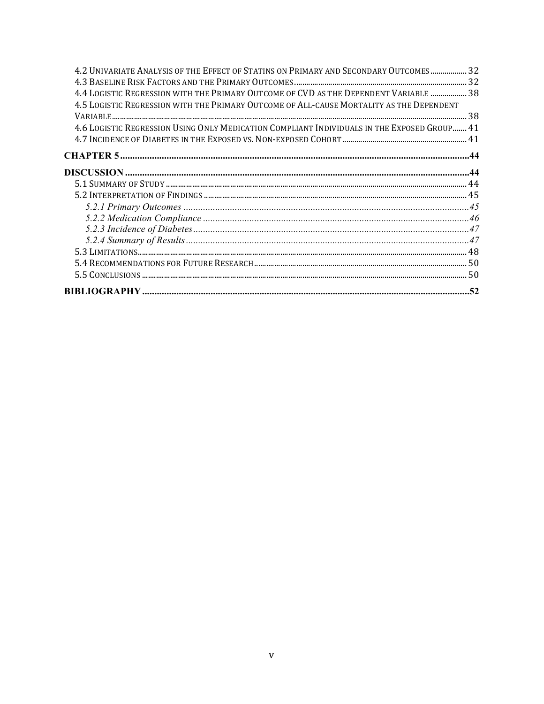| 4.2 UNIVARIATE ANALYSIS OF THE EFFECT OF STATINS ON PRIMARY AND SECONDARY OUTCOMES 32       |  |
|---------------------------------------------------------------------------------------------|--|
|                                                                                             |  |
| 4.4 LOGISTIC REGRESSION WITH THE PRIMARY OUTCOME OF CVD AS THE DEPENDENT VARIABLE  38       |  |
| 4.5 LOGISTIC REGRESSION WITH THE PRIMARY OUTCOME OF ALL-CAUSE MORTALITY AS THE DEPENDENT    |  |
|                                                                                             |  |
| 4.6 LOGISTIC REGRESSION USING ONLY MEDICATION COMPLIANT INDIVIDUALS IN THE EXPOSED GROUP 41 |  |
|                                                                                             |  |
|                                                                                             |  |
|                                                                                             |  |
|                                                                                             |  |
|                                                                                             |  |
|                                                                                             |  |
|                                                                                             |  |
|                                                                                             |  |
|                                                                                             |  |
|                                                                                             |  |
|                                                                                             |  |
|                                                                                             |  |
|                                                                                             |  |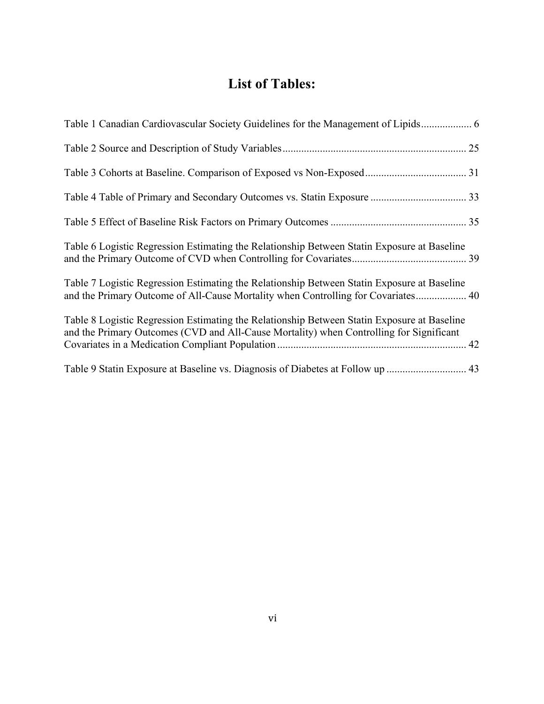# **List of Tables:**

| Table 6 Logistic Regression Estimating the Relationship Between Statin Exposure at Baseline                                                                                            |  |
|----------------------------------------------------------------------------------------------------------------------------------------------------------------------------------------|--|
| Table 7 Logistic Regression Estimating the Relationship Between Statin Exposure at Baseline<br>and the Primary Outcome of All-Cause Mortality when Controlling for Covariates 40       |  |
| Table 8 Logistic Regression Estimating the Relationship Between Statin Exposure at Baseline<br>and the Primary Outcomes (CVD and All-Cause Mortality) when Controlling for Significant |  |
|                                                                                                                                                                                        |  |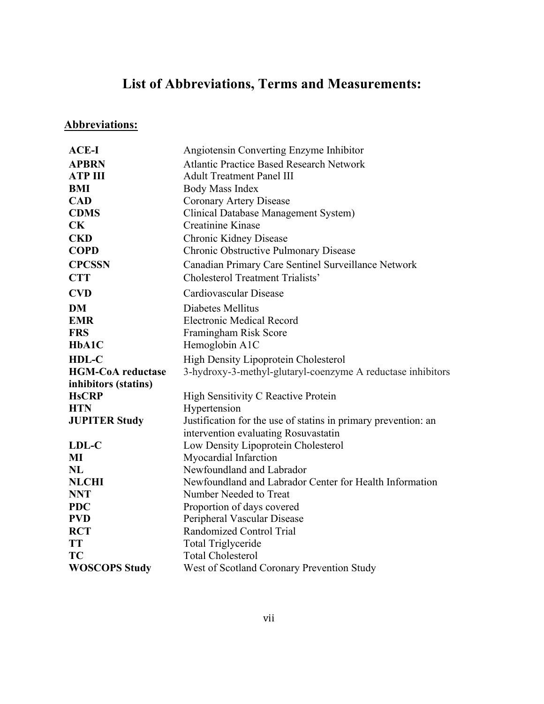# **List of Abbreviations, Terms and Measurements:**

# **Abbreviations:**

| <b>ACE-I</b>             | Angiotensin Converting Enzyme Inhibitor                        |
|--------------------------|----------------------------------------------------------------|
| <b>APBRN</b>             | <b>Atlantic Practice Based Research Network</b>                |
| <b>ATP III</b>           | <b>Adult Treatment Panel III</b>                               |
| BMI                      | <b>Body Mass Index</b>                                         |
| <b>CAD</b>               | Coronary Artery Disease                                        |
| <b>CDMS</b>              | Clinical Database Management System)                           |
| CK                       | <b>Creatinine Kinase</b>                                       |
| <b>CKD</b>               | Chronic Kidney Disease                                         |
| <b>COPD</b>              | Chronic Obstructive Pulmonary Disease                          |
| <b>CPCSSN</b>            | Canadian Primary Care Sentinel Surveillance Network            |
| <b>CTT</b>               | <b>Cholesterol Treatment Trialists'</b>                        |
| <b>CVD</b>               | Cardiovascular Disease                                         |
| <b>DM</b>                | Diabetes Mellitus                                              |
| <b>EMR</b>               | <b>Electronic Medical Record</b>                               |
| <b>FRS</b>               | Framingham Risk Score                                          |
| HbA1C                    | Hemoglobin A1C                                                 |
| HDL-C                    | <b>High Density Lipoprotein Cholesterol</b>                    |
| <b>HGM-CoA</b> reductase | 3-hydroxy-3-methyl-glutaryl-coenzyme A reductase inhibitors    |
| inhibitors (statins)     |                                                                |
| <b>HsCRP</b>             | High Sensitivity C Reactive Protein                            |
| <b>HTN</b>               | Hypertension                                                   |
| <b>JUPITER Study</b>     | Justification for the use of statins in primary prevention: an |
|                          | intervention evaluating Rosuvastatin                           |
| LDL-C                    | Low Density Lipoprotein Cholesterol                            |
| MI                       | Myocardial Infarction                                          |
| NL                       | Newfoundland and Labrador                                      |
| <b>NLCHI</b>             | Newfoundland and Labrador Center for Health Information        |
| <b>NNT</b>               | Number Needed to Treat                                         |
| <b>PDC</b>               | Proportion of days covered                                     |
| <b>PVD</b>               | Peripheral Vascular Disease                                    |
| <b>RCT</b>               | Randomized Control Trial                                       |
| <b>TT</b>                | <b>Total Triglyceride</b>                                      |
| <b>TC</b>                | <b>Total Cholesterol</b>                                       |
| <b>WOSCOPS Study</b>     | West of Scotland Coronary Prevention Study                     |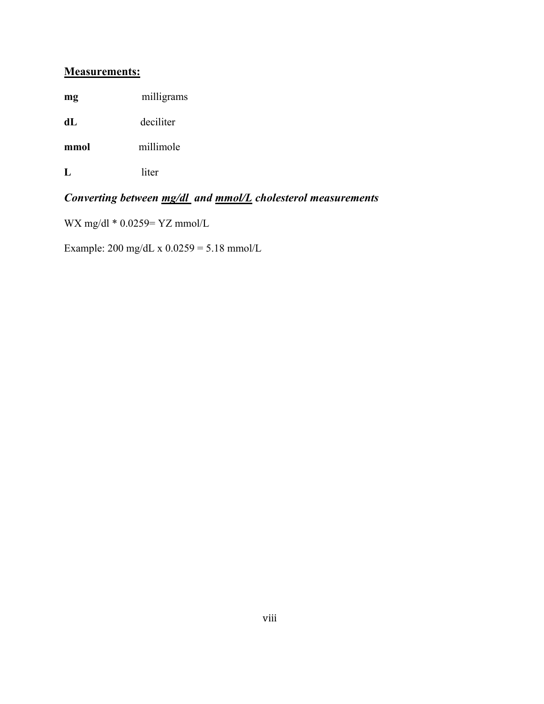### **Measurements:**

**mg** milligrams

**dL** deciliter

**mmol** millimole

**L** liter

# *Converting between mg/dl and mmol/L cholesterol measurements*

WX mg/dl \* 0.0259= YZ mmol/L

Example: 200 mg/dL x 0.0259 = 5.18 mmol/L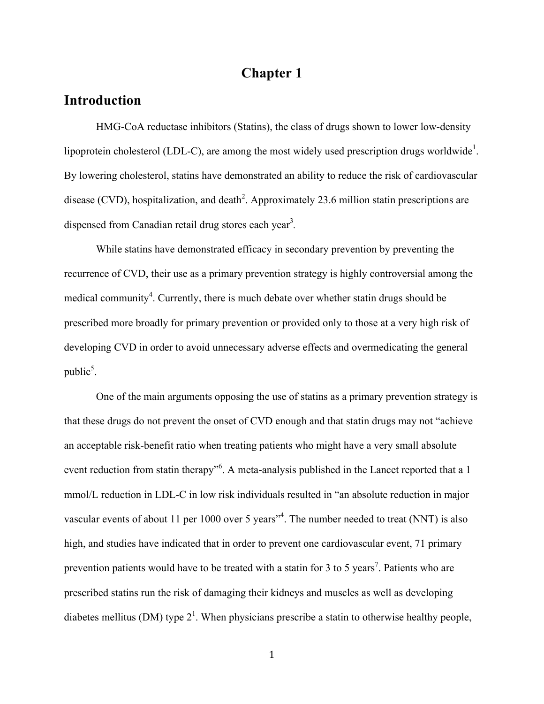## **Chapter 1**

## **Introduction**

HMG-CoA reductase inhibitors (Statins), the class of drugs shown to lower low-density lipoprotein cholesterol (LDL-C), are among the most widely used prescription drugs worldwide<sup>1</sup>. By lowering cholesterol, statins have demonstrated an ability to reduce the risk of cardiovascular disease (CVD), hospitalization, and death<sup>2</sup>. Approximately 23.6 million statin prescriptions are dispensed from Canadian retail drug stores each year<sup>3</sup>.

While statins have demonstrated efficacy in secondary prevention by preventing the recurrence of CVD, their use as a primary prevention strategy is highly controversial among the medical community<sup>4</sup>. Currently, there is much debate over whether statin drugs should be prescribed more broadly for primary prevention or provided only to those at a very high risk of developing CVD in order to avoid unnecessary adverse effects and overmedicating the general public $<sup>5</sup>$ .</sup>

One of the main arguments opposing the use of statins as a primary prevention strategy is that these drugs do not prevent the onset of CVD enough and that statin drugs may not "achieve an acceptable risk-benefit ratio when treating patients who might have a very small absolute event reduction from statin therapy<sup>16</sup>. A meta-analysis published in the Lancet reported that a 1 mmol/L reduction in LDL-C in low risk individuals resulted in "an absolute reduction in major vascular events of about 11 per 1000 over 5 years<sup> $4$ </sup>. The number needed to treat (NNT) is also high, and studies have indicated that in order to prevent one cardiovascular event, 71 primary prevention patients would have to be treated with a statin for 3 to 5 years<sup>7</sup>. Patients who are prescribed statins run the risk of damaging their kidneys and muscles as well as developing diabetes mellitus (DM) type  $2<sup>1</sup>$ . When physicians prescribe a statin to otherwise healthy people,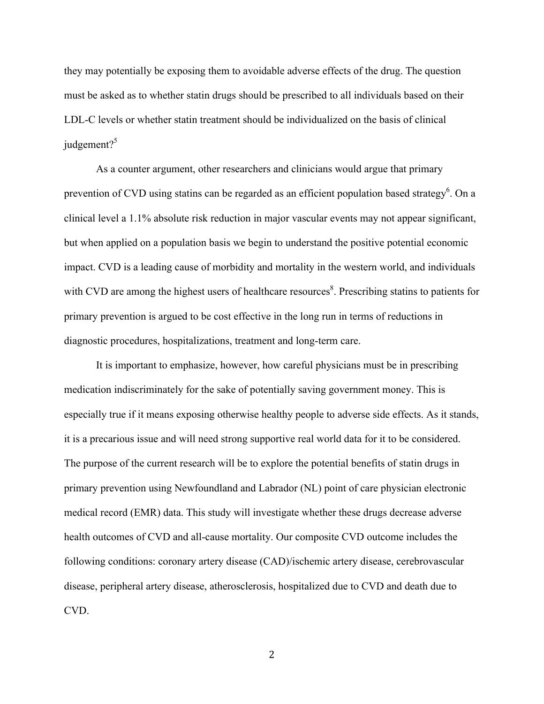they may potentially be exposing them to avoidable adverse effects of the drug. The question must be asked as to whether statin drugs should be prescribed to all individuals based on their LDL-C levels or whether statin treatment should be individualized on the basis of clinical judgement? $5$ 

As a counter argument, other researchers and clinicians would argue that primary prevention of CVD using statins can be regarded as an efficient population based strategy<sup>6</sup>. On a clinical level a 1.1% absolute risk reduction in major vascular events may not appear significant, but when applied on a population basis we begin to understand the positive potential economic impact. CVD is a leading cause of morbidity and mortality in the western world, and individuals with CVD are among the highest users of healthcare resources<sup>8</sup>. Prescribing statins to patients for primary prevention is argued to be cost effective in the long run in terms of reductions in diagnostic procedures, hospitalizations, treatment and long-term care.

It is important to emphasize, however, how careful physicians must be in prescribing medication indiscriminately for the sake of potentially saving government money. This is especially true if it means exposing otherwise healthy people to adverse side effects. As it stands, it is a precarious issue and will need strong supportive real world data for it to be considered. The purpose of the current research will be to explore the potential benefits of statin drugs in primary prevention using Newfoundland and Labrador (NL) point of care physician electronic medical record (EMR) data. This study will investigate whether these drugs decrease adverse health outcomes of CVD and all-cause mortality. Our composite CVD outcome includes the following conditions: coronary artery disease (CAD)/ischemic artery disease, cerebrovascular disease, peripheral artery disease, atherosclerosis, hospitalized due to CVD and death due to CVD.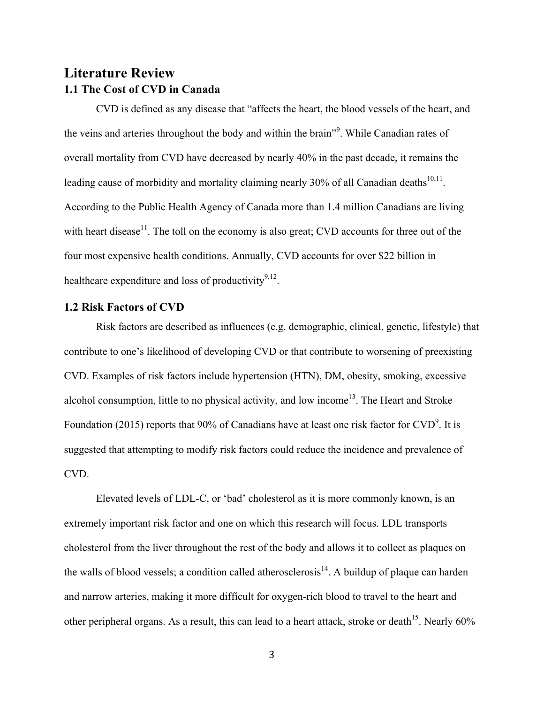## **Literature Review 1.1 The Cost of CVD in Canada**

CVD is defined as any disease that "affects the heart, the blood vessels of the heart, and the veins and arteries throughout the body and within the brain"<sup>9</sup>. While Canadian rates of overall mortality from CVD have decreased by nearly 40% in the past decade, it remains the leading cause of morbidity and mortality claiming nearly 30% of all Canadian deaths<sup>10,11</sup>. According to the Public Health Agency of Canada more than 1.4 million Canadians are living with heart disease<sup>11</sup>. The toll on the economy is also great; CVD accounts for three out of the four most expensive health conditions. Annually, CVD accounts for over \$22 billion in healthcare expenditure and loss of productivity<sup>9,12</sup>.

### **1.2 Risk Factors of CVD**

Risk factors are described as influences (e.g. demographic, clinical, genetic, lifestyle) that contribute to one's likelihood of developing CVD or that contribute to worsening of preexisting CVD. Examples of risk factors include hypertension (HTN), DM, obesity, smoking, excessive alcohol consumption, little to no physical activity, and low income<sup>13</sup>. The Heart and Stroke Foundation (2015) reports that 90% of Canadians have at least one risk factor for  $CVD<sup>9</sup>$ . It is suggested that attempting to modify risk factors could reduce the incidence and prevalence of CVD.

Elevated levels of LDL-C, or 'bad' cholesterol as it is more commonly known, is an extremely important risk factor and one on which this research will focus. LDL transports cholesterol from the liver throughout the rest of the body and allows it to collect as plaques on the walls of blood vessels; a condition called atherosclerosis<sup>14</sup>. A buildup of plaque can harden and narrow arteries, making it more difficult for oxygen-rich blood to travel to the heart and other peripheral organs. As a result, this can lead to a heart attack, stroke or death<sup>15</sup>. Nearly  $60\%$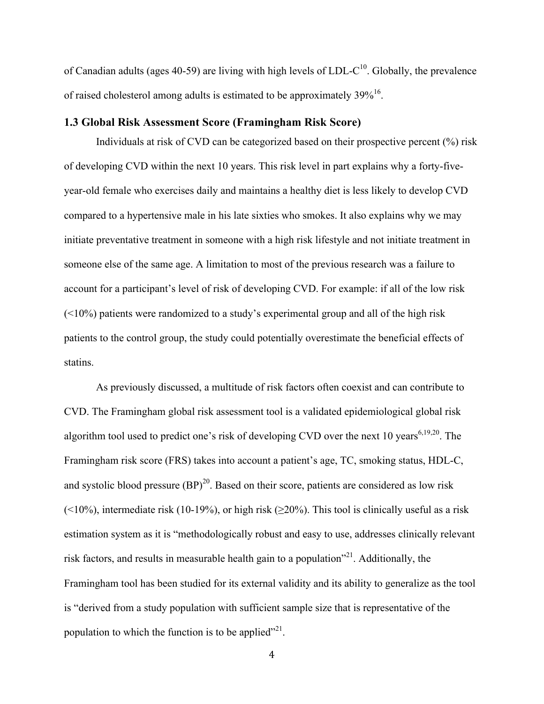of Canadian adults (ages 40-59) are living with high levels of LDL- $C^{10}$ . Globally, the prevalence of raised cholesterol among adults is estimated to be approximately  $39\%^{16}$ .

#### **1.3 Global Risk Assessment Score (Framingham Risk Score)**

Individuals at risk of CVD can be categorized based on their prospective percent (%) risk of developing CVD within the next 10 years. This risk level in part explains why a forty-fiveyear-old female who exercises daily and maintains a healthy diet is less likely to develop CVD compared to a hypertensive male in his late sixties who smokes. It also explains why we may initiate preventative treatment in someone with a high risk lifestyle and not initiate treatment in someone else of the same age. A limitation to most of the previous research was a failure to account for a participant's level of risk of developing CVD. For example: if all of the low risk  $(\leq 10\%)$  patients were randomized to a study's experimental group and all of the high risk patients to the control group, the study could potentially overestimate the beneficial effects of statins.

As previously discussed, a multitude of risk factors often coexist and can contribute to CVD. The Framingham global risk assessment tool is a validated epidemiological global risk algorithm tool used to predict one's risk of developing CVD over the next 10 years<sup>6,19,20</sup>. The Framingham risk score (FRS) takes into account a patient's age, TC, smoking status, HDL-C, and systolic blood pressure  $(BP)^{20}$ . Based on their score, patients are considered as low risk  $(\leq 10\%)$ , intermediate risk (10-19%), or high risk ( $\geq 20\%$ ). This tool is clinically useful as a risk estimation system as it is "methodologically robust and easy to use, addresses clinically relevant risk factors, and results in measurable health gain to a population<sup> $21$ </sup>. Additionally, the Framingham tool has been studied for its external validity and its ability to generalize as the tool is "derived from a study population with sufficient sample size that is representative of the population to which the function is to be applied $^{221}$ .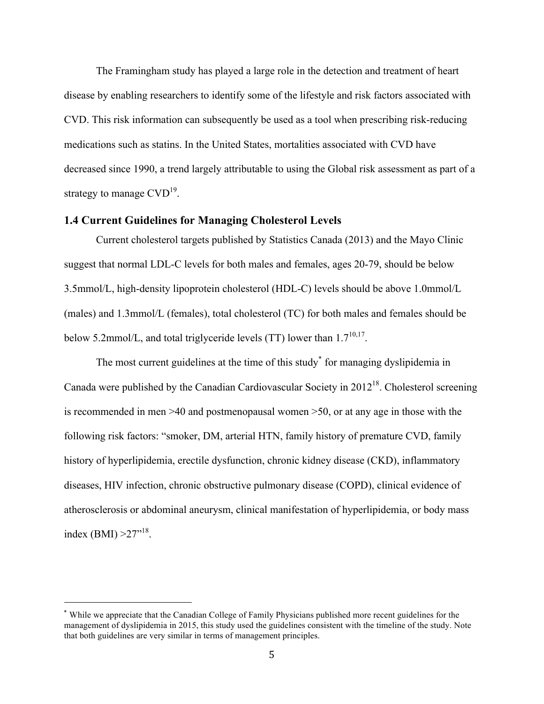The Framingham study has played a large role in the detection and treatment of heart disease by enabling researchers to identify some of the lifestyle and risk factors associated with CVD. This risk information can subsequently be used as a tool when prescribing risk-reducing medications such as statins. In the United States, mortalities associated with CVD have decreased since 1990, a trend largely attributable to using the Global risk assessment as part of a strategy to manage  $CVD^{19}$ .

### **1.4 Current Guidelines for Managing Cholesterol Levels**

Current cholesterol targets published by Statistics Canada (2013) and the Mayo Clinic suggest that normal LDL-C levels for both males and females, ages 20-79, should be below 3.5mmol/L, high-density lipoprotein cholesterol (HDL-C) levels should be above 1.0mmol/L (males) and 1.3mmol/L (females), total cholesterol (TC) for both males and females should be below 5.2mmol/L, and total triglyceride levels (TT) lower than  $1.7^{10,17}$ .

The most current guidelines at the time of this study for managing dyslipidemia in Canada were published by the Canadian Cardiovascular Society in 201218. Cholesterol screening is recommended in men >40 and postmenopausal women >50, or at any age in those with the following risk factors: "smoker, DM, arterial HTN, family history of premature CVD, family history of hyperlipidemia, erectile dysfunction, chronic kidney disease (CKD), inflammatory diseases, HIV infection, chronic obstructive pulmonary disease (COPD), clinical evidence of atherosclerosis or abdominal aneurysm, clinical manifestation of hyperlipidemia, or body mass index (BMI)  $>27^{18}$ .

<sup>\*</sup> While we appreciate that the Canadian College of Family Physicians published more recent guidelines for the management of dyslipidemia in 2015, this study used the guidelines consistent with the timeline of the study. Note that both guidelines are very similar in terms of management principles.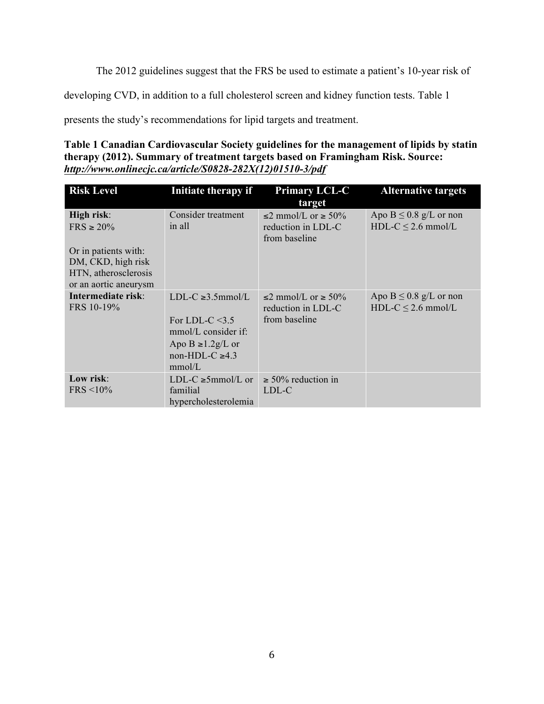The 2012 guidelines suggest that the FRS be used to estimate a patient's 10-year risk of

developing CVD, in addition to a full cholesterol screen and kidney function tests. Table 1

presents the study's recommendations for lipid targets and treatment.

### **Table 1 Canadian Cardiovascular Society guidelines for the management of lipids by statin therapy (2012). Summary of treatment targets based on Framingham Risk. Source:**  *http://www.onlinecjc.ca/article/S0828-282X(12)01510-3/pdf*

| <b>Risk Level</b>                                                                                                           | Initiate therapy if                                                                                                               | <b>Primary LCL-C</b><br>target                                       | <b>Alternative targets</b>                            |
|-----------------------------------------------------------------------------------------------------------------------------|-----------------------------------------------------------------------------------------------------------------------------------|----------------------------------------------------------------------|-------------------------------------------------------|
| High risk:<br>$FRS \ge 20\%$<br>Or in patients with:<br>DM, CKD, high risk<br>HTN, atherosclerosis<br>or an aortic aneurysm | Consider treatment<br>in all                                                                                                      | $\leq$ 2 mmol/L or $\geq$ 50%<br>reduction in LDL-C<br>from baseline | Apo $B \le 0.8$ g/L or non<br>HDL-C $\leq$ 2.6 mmol/L |
| Intermediate risk:<br>FRS 10-19%                                                                                            | LDL-C $\geq 3.5$ mmol/L<br>For LDL-C $<$ 3.5<br>$mmol/L$ consider if:<br>Apo B $\geq$ 1.2g/L or<br>non-HDL-C $\geq 4.3$<br>mmol/L | $\leq$ mmol/L or $\geq$ 50%<br>reduction in LDL-C<br>from baseline   | Apo $B \le 0.8$ g/L or non<br>HDL-C $\leq$ 2.6 mmol/L |
| Low risk:<br>$FRS < 10\%$                                                                                                   | LDL-C $\geq 5$ mmol/L or<br>familial<br>hypercholesterolemia                                                                      | $\geq 50\%$ reduction in<br>LDL-C                                    |                                                       |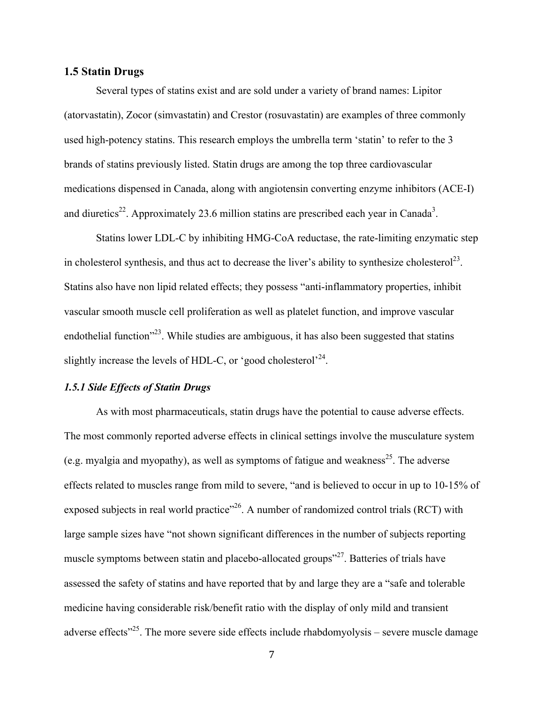#### **1.5 Statin Drugs**

Several types of statins exist and are sold under a variety of brand names: Lipitor (atorvastatin), Zocor (simvastatin) and Crestor (rosuvastatin) are examples of three commonly used high-potency statins. This research employs the umbrella term 'statin' to refer to the 3 brands of statins previously listed. Statin drugs are among the top three cardiovascular medications dispensed in Canada, along with angiotensin converting enzyme inhibitors (ACE-I) and diuretics<sup>22</sup>. Approximately 23.6 million statins are prescribed each year in Canada<sup>3</sup>.

Statins lower LDL-C by inhibiting HMG-CoA reductase, the rate-limiting enzymatic step in cholesterol synthesis, and thus act to decrease the liver's ability to synthesize cholesterol<sup>23</sup>. Statins also have non lipid related effects; they possess "anti-inflammatory properties, inhibit vascular smooth muscle cell proliferation as well as platelet function, and improve vascular endothelial function<sup>"23</sup>. While studies are ambiguous, it has also been suggested that statins slightly increase the levels of HDL-C, or 'good cholesterol'<sup>24</sup>.

#### *1.5.1 Side Effects of Statin Drugs*

As with most pharmaceuticals, statin drugs have the potential to cause adverse effects. The most commonly reported adverse effects in clinical settings involve the musculature system (e.g. myalgia and myopathy), as well as symptoms of fatigue and weakness<sup>25</sup>. The adverse effects related to muscles range from mild to severe, "and is believed to occur in up to 10-15% of exposed subjects in real world practice"<sup>26</sup>. A number of randomized control trials (RCT) with large sample sizes have "not shown significant differences in the number of subjects reporting muscle symptoms between statin and placebo-allocated groups<sup>"27</sup>. Batteries of trials have assessed the safety of statins and have reported that by and large they are a "safe and tolerable medicine having considerable risk/benefit ratio with the display of only mild and transient adverse effects<sup> $25$ </sup>. The more severe side effects include rhabdomyolysis – severe muscle damage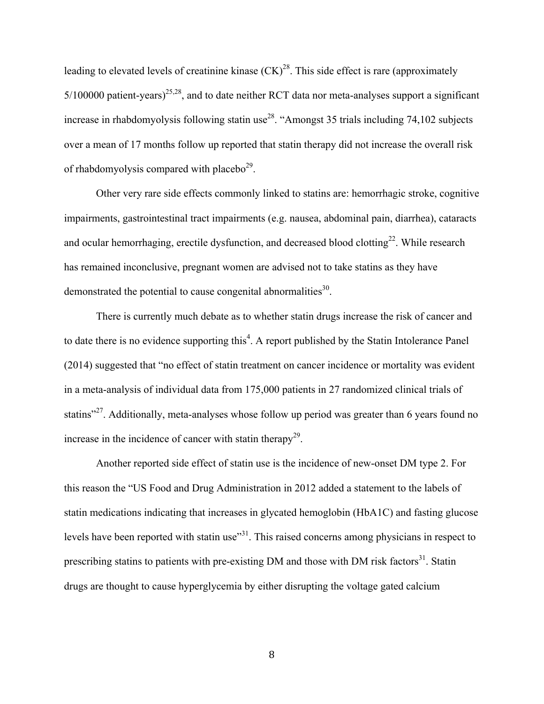leading to elevated levels of creatinine kinase  $(CK)^{28}$ . This side effect is rare (approximately  $5/100000$  patient-years)<sup>25,28</sup>, and to date neither RCT data nor meta-analyses support a significant increase in rhabdomyolysis following statin use<sup>28</sup>. "Amongst 35 trials including 74,102 subjects over a mean of 17 months follow up reported that statin therapy did not increase the overall risk of rhabdomyolysis compared with placebo $2^9$ .

Other very rare side effects commonly linked to statins are: hemorrhagic stroke, cognitive impairments, gastrointestinal tract impairments (e.g. nausea, abdominal pain, diarrhea), cataracts and ocular hemorrhaging, erectile dysfunction, and decreased blood clotting<sup>22</sup>. While research has remained inconclusive, pregnant women are advised not to take statins as they have demonstrated the potential to cause congenital abnormalities $30$ .

There is currently much debate as to whether statin drugs increase the risk of cancer and to date there is no evidence supporting this<sup>4</sup>. A report published by the Statin Intolerance Panel (2014) suggested that "no effect of statin treatment on cancer incidence or mortality was evident in a meta-analysis of individual data from 175,000 patients in 27 randomized clinical trials of statins<sup>"27</sup>. Additionally, meta-analyses whose follow up period was greater than 6 years found no increase in the incidence of cancer with statin therapy<sup>29</sup>.

Another reported side effect of statin use is the incidence of new-onset DM type 2. For this reason the "US Food and Drug Administration in 2012 added a statement to the labels of statin medications indicating that increases in glycated hemoglobin (HbA1C) and fasting glucose levels have been reported with statin use<sup>31</sup>. This raised concerns among physicians in respect to prescribing statins to patients with pre-existing DM and those with DM risk factors $31$ . Statin drugs are thought to cause hyperglycemia by either disrupting the voltage gated calcium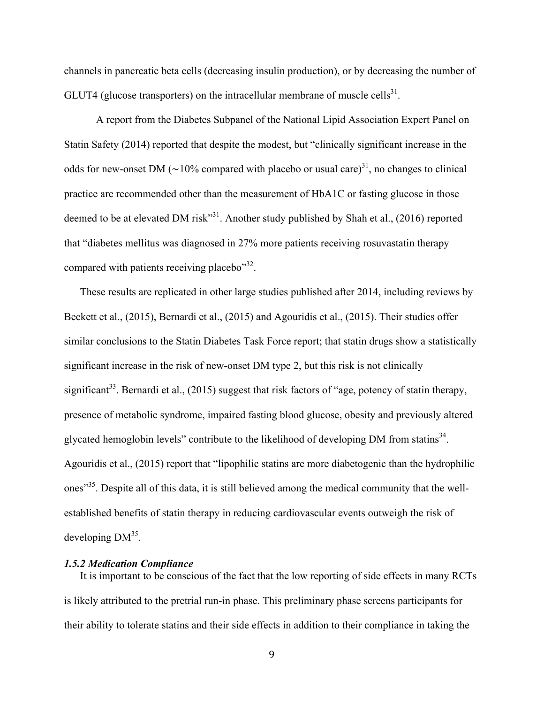channels in pancreatic beta cells (decreasing insulin production), or by decreasing the number of GLUT4 (glucose transporters) on the intracellular membrane of muscle cells<sup>31</sup>.

A report from the Diabetes Subpanel of the National Lipid Association Expert Panel on Statin Safety (2014) reported that despite the modest, but "clinically significant increase in the odds for new-onset DM ( $\sim$ 10% compared with placebo or usual care)<sup>31</sup>, no changes to clinical practice are recommended other than the measurement of HbA1C or fasting glucose in those deemed to be at elevated DM risk"<sup>31</sup>. Another study published by Shah et al., (2016) reported that "diabetes mellitus was diagnosed in 27% more patients receiving rosuvastatin therapy compared with patients receiving placebo<sup>332</sup>.

These results are replicated in other large studies published after 2014, including reviews by Beckett et al., (2015), Bernardi et al., (2015) and Agouridis et al., (2015). Their studies offer similar conclusions to the Statin Diabetes Task Force report; that statin drugs show a statistically significant increase in the risk of new-onset DM type 2, but this risk is not clinically significant<sup>33</sup>. Bernardi et al., (2015) suggest that risk factors of "age, potency of statin therapy, presence of metabolic syndrome, impaired fasting blood glucose, obesity and previously altered glycated hemoglobin levels" contribute to the likelihood of developing DM from statins<sup>34</sup>. Agouridis et al., (2015) report that "lipophilic statins are more diabetogenic than the hydrophilic ones<sup>35</sup>. Despite all of this data, it is still believed among the medical community that the wellestablished benefits of statin therapy in reducing cardiovascular events outweigh the risk of developing  $DM<sup>35</sup>$ .

#### *1.5.2 Medication Compliance*

It is important to be conscious of the fact that the low reporting of side effects in many RCTs is likely attributed to the pretrial run-in phase. This preliminary phase screens participants for their ability to tolerate statins and their side effects in addition to their compliance in taking the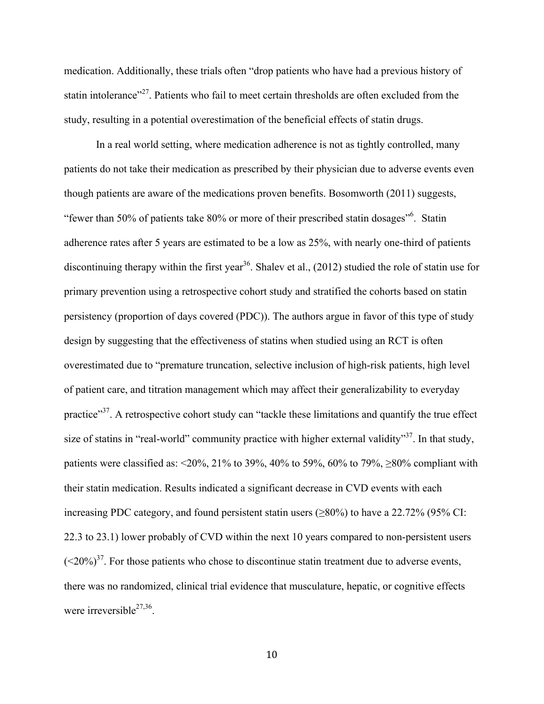medication. Additionally, these trials often "drop patients who have had a previous history of statin intolerance"<sup>27</sup>. Patients who fail to meet certain thresholds are often excluded from the study, resulting in a potential overestimation of the beneficial effects of statin drugs.

In a real world setting, where medication adherence is not as tightly controlled, many patients do not take their medication as prescribed by their physician due to adverse events even though patients are aware of the medications proven benefits. Bosomworth (2011) suggests, "fewer than 50% of patients take 80% or more of their prescribed statin dosages"<sup>6</sup>. Statin adherence rates after 5 years are estimated to be a low as 25%, with nearly one-third of patients discontinuing therapy within the first year<sup>36</sup>. Shalev et al., (2012) studied the role of statin use for primary prevention using a retrospective cohort study and stratified the cohorts based on statin persistency (proportion of days covered (PDC)). The authors argue in favor of this type of study design by suggesting that the effectiveness of statins when studied using an RCT is often overestimated due to "premature truncation, selective inclusion of high-risk patients, high level of patient care, and titration management which may affect their generalizability to everyday practice"<sup>37</sup>. A retrospective cohort study can "tackle these limitations and quantify the true effect size of statins in "real-world" community practice with higher external validity"<sup>37</sup>. In that study, patients were classified as: <20%, 21% to 39%, 40% to 59%, 60% to 79%,  $\geq$ 80% compliant with their statin medication. Results indicated a significant decrease in CVD events with each increasing PDC category, and found persistent statin users  $(\geq 80\%)$  to have a 22.72% (95% CI: 22.3 to 23.1) lower probably of CVD within the next 10 years compared to non-persistent users  $(<20\%)^{37}$ . For those patients who chose to discontinue statin treatment due to adverse events, there was no randomized, clinical trial evidence that musculature, hepatic, or cognitive effects were irreversible $^{27,36}$ .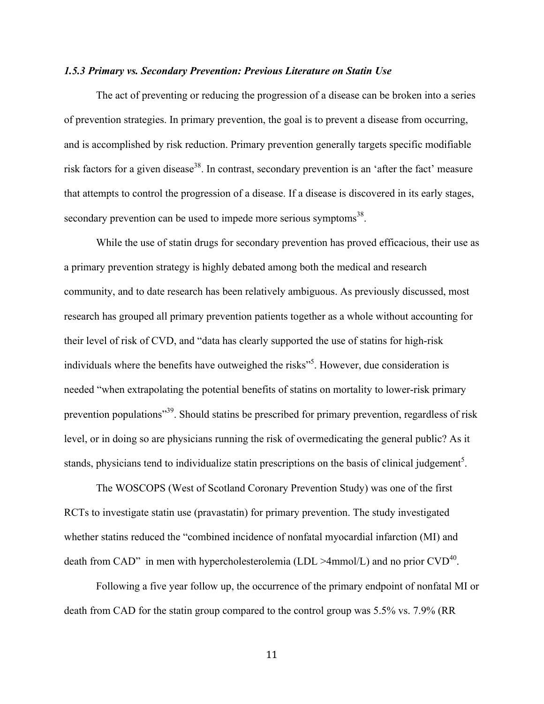#### *1.5.3 Primary vs. Secondary Prevention: Previous Literature on Statin Use*

The act of preventing or reducing the progression of a disease can be broken into a series of prevention strategies. In primary prevention, the goal is to prevent a disease from occurring, and is accomplished by risk reduction. Primary prevention generally targets specific modifiable risk factors for a given disease<sup>38</sup>. In contrast, secondary prevention is an 'after the fact' measure that attempts to control the progression of a disease. If a disease is discovered in its early stages, secondary prevention can be used to impede more serious symptoms<sup>38</sup>.

While the use of statin drugs for secondary prevention has proved efficacious, their use as a primary prevention strategy is highly debated among both the medical and research community, and to date research has been relatively ambiguous. As previously discussed, most research has grouped all primary prevention patients together as a whole without accounting for their level of risk of CVD, and "data has clearly supported the use of statins for high-risk individuals where the benefits have outweighed the risks"<sup>5</sup>. However, due consideration is needed "when extrapolating the potential benefits of statins on mortality to lower-risk primary prevention populations<sup>"39</sup>. Should statins be prescribed for primary prevention, regardless of risk level, or in doing so are physicians running the risk of overmedicating the general public? As it stands, physicians tend to individualize statin prescriptions on the basis of clinical judgement<sup>5</sup>.

The WOSCOPS (West of Scotland Coronary Prevention Study) was one of the first RCTs to investigate statin use (pravastatin) for primary prevention. The study investigated whether statins reduced the "combined incidence of nonfatal myocardial infarction (MI) and death from CAD" in men with hypercholesterolemia (LDL >4mmol/L) and no prior  $CVD^{40}$ .

Following a five year follow up, the occurrence of the primary endpoint of nonfatal MI or death from CAD for the statin group compared to the control group was 5.5% vs. 7.9% (RR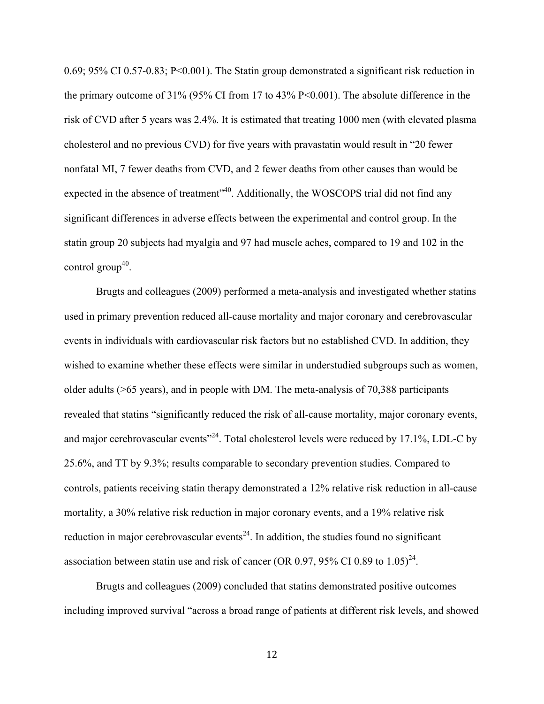0.69; 95% CI 0.57-0.83; P<0.001). The Statin group demonstrated a significant risk reduction in the primary outcome of 31% (95% CI from 17 to 43% P<0.001). The absolute difference in the risk of CVD after 5 years was 2.4%. It is estimated that treating 1000 men (with elevated plasma cholesterol and no previous CVD) for five years with pravastatin would result in "20 fewer nonfatal MI, 7 fewer deaths from CVD, and 2 fewer deaths from other causes than would be expected in the absence of treatment<sup>340</sup>. Additionally, the WOSCOPS trial did not find any significant differences in adverse effects between the experimental and control group. In the statin group 20 subjects had myalgia and 97 had muscle aches, compared to 19 and 102 in the control group<sup>40</sup>.

Brugts and colleagues (2009) performed a meta-analysis and investigated whether statins used in primary prevention reduced all-cause mortality and major coronary and cerebrovascular events in individuals with cardiovascular risk factors but no established CVD. In addition, they wished to examine whether these effects were similar in understudied subgroups such as women, older adults (>65 years), and in people with DM. The meta-analysis of 70,388 participants revealed that statins "significantly reduced the risk of all-cause mortality, major coronary events, and major cerebrovascular events<sup> $24$ </sup>. Total cholesterol levels were reduced by 17.1%, LDL-C by 25.6%, and TT by 9.3%; results comparable to secondary prevention studies. Compared to controls, patients receiving statin therapy demonstrated a 12% relative risk reduction in all-cause mortality, a 30% relative risk reduction in major coronary events, and a 19% relative risk reduction in major cerebrovascular events<sup>24</sup>. In addition, the studies found no significant association between statin use and risk of cancer (OR 0.97, 95% CI 0.89 to  $1.05<sup>24</sup>$ .

Brugts and colleagues (2009) concluded that statins demonstrated positive outcomes including improved survival "across a broad range of patients at different risk levels, and showed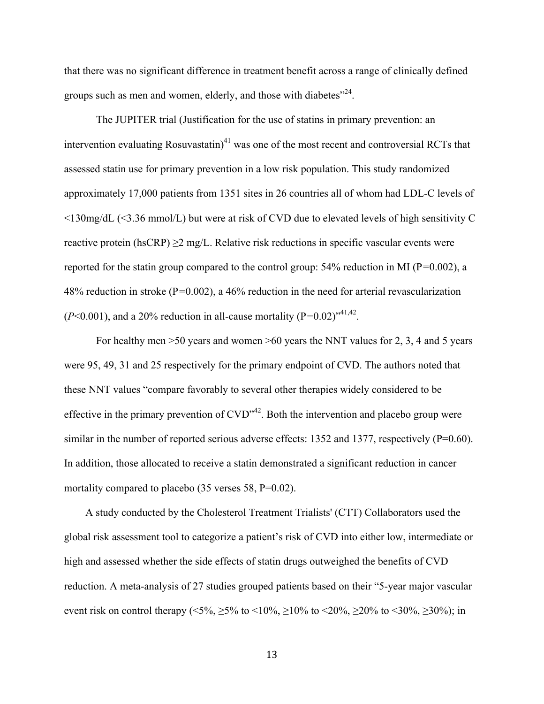that there was no significant difference in treatment benefit across a range of clinically defined groups such as men and women, elderly, and those with diabetes $^{224}$ .

The JUPITER trial (Justification for the use of statins in primary prevention: an intervention evaluating Rosuvastatin)<sup>41</sup> was one of the most recent and controversial RCTs that assessed statin use for primary prevention in a low risk population. This study randomized approximately 17,000 patients from 1351 sites in 26 countries all of whom had LDL-C levels of <130mg/dL (<3.36 mmol/L) but were at risk of CVD due to elevated levels of high sensitivity C reactive protein (hsCRP)  $\geq$ 2 mg/L. Relative risk reductions in specific vascular events were reported for the statin group compared to the control group: 54% reduction in MI (P*=*0.002), a 48% reduction in stroke (P*=*0.002), a 46% reduction in the need for arterial revascularization  $(P<0.001)$ , and a 20% reduction in all-cause mortality  $(P=0.02)^{9,41,42}$ .

For healthy men >50 years and women >60 years the NNT values for 2, 3, 4 and 5 years were 95, 49, 31 and 25 respectively for the primary endpoint of CVD. The authors noted that these NNT values "compare favorably to several other therapies widely considered to be effective in the primary prevention of  $CVD^{\prime42}$ . Both the intervention and placebo group were similar in the number of reported serious adverse effects: 1352 and 1377, respectively (P=0.60). In addition, those allocated to receive a statin demonstrated a significant reduction in cancer mortality compared to placebo (35 verses 58, P=0.02).

 A study conducted by the Cholesterol Treatment Trialists' (CTT) Collaborators used the global risk assessment tool to categorize a patient's risk of CVD into either low, intermediate or high and assessed whether the side effects of statin drugs outweighed the benefits of CVD reduction. A meta-analysis of 27 studies grouped patients based on their "5-year major vascular event risk on control therapy (<5%,  $\geq$ 5% to <10%,  $\geq$ 10% to <20%,  $\geq$ 20% to <30%,  $\geq$ 30%); in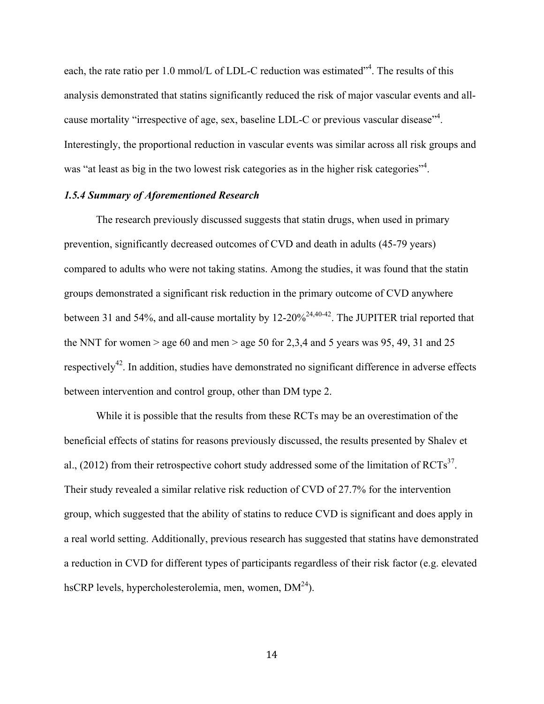each, the rate ratio per 1.0 mmol/L of LDL-C reduction was estimated"<sup>4</sup>. The results of this analysis demonstrated that statins significantly reduced the risk of major vascular events and allcause mortality "irrespective of age, sex, baseline LDL-C or previous vascular disease"<sup>4</sup>. Interestingly, the proportional reduction in vascular events was similar across all risk groups and was "at least as big in the two lowest risk categories as in the higher risk categories"<sup>4</sup>.

#### *1.5.4 Summary of Aforementioned Research*

The research previously discussed suggests that statin drugs, when used in primary prevention, significantly decreased outcomes of CVD and death in adults (45-79 years) compared to adults who were not taking statins. Among the studies, it was found that the statin groups demonstrated a significant risk reduction in the primary outcome of CVD anywhere between 31 and 54%, and all-cause mortality by  $12{\text -}20\%^{24,40-42}$ . The JUPITER trial reported that the NNT for women  $>$  age 60 and men  $>$  age 50 for 2,3,4 and 5 years was 95, 49, 31 and 25 respectively<sup>42</sup>. In addition, studies have demonstrated no significant difference in adverse effects between intervention and control group, other than DM type 2.

While it is possible that the results from these RCTs may be an overestimation of the beneficial effects of statins for reasons previously discussed, the results presented by Shalev et al., (2012) from their retrospective cohort study addressed some of the limitation of  $\text{RCTs}^{37}$ . Their study revealed a similar relative risk reduction of CVD of 27.7% for the intervention group, which suggested that the ability of statins to reduce CVD is significant and does apply in a real world setting. Additionally, previous research has suggested that statins have demonstrated a reduction in CVD for different types of participants regardless of their risk factor (e.g. elevated hsCRP levels, hypercholesterolemia, men, women,  $DM<sup>24</sup>$ ).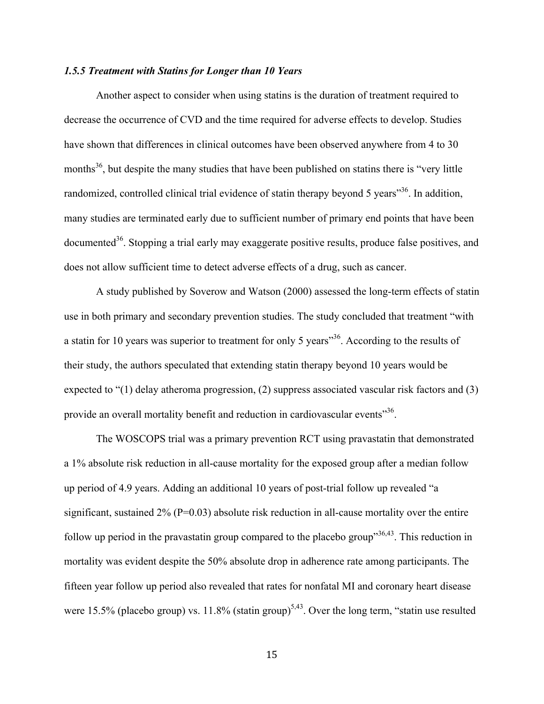#### *1.5.5 Treatment with Statins for Longer than 10 Years*

Another aspect to consider when using statins is the duration of treatment required to decrease the occurrence of CVD and the time required for adverse effects to develop. Studies have shown that differences in clinical outcomes have been observed anywhere from 4 to 30 months<sup>36</sup>, but despite the many studies that have been published on statins there is "very little" randomized, controlled clinical trial evidence of statin therapy beyond 5 years<sup>356</sup>. In addition, many studies are terminated early due to sufficient number of primary end points that have been documented<sup>36</sup>. Stopping a trial early may exaggerate positive results, produce false positives, and does not allow sufficient time to detect adverse effects of a drug, such as cancer.

A study published by Soverow and Watson (2000) assessed the long-term effects of statin use in both primary and secondary prevention studies. The study concluded that treatment "with a statin for 10 years was superior to treatment for only 5 years<sup>36</sup>. According to the results of their study, the authors speculated that extending statin therapy beyond 10 years would be expected to "(1) delay atheroma progression, (2) suppress associated vascular risk factors and (3) provide an overall mortality benefit and reduction in cardiovascular events<sup>356</sup>.

The WOSCOPS trial was a primary prevention RCT using pravastatin that demonstrated a 1% absolute risk reduction in all-cause mortality for the exposed group after a median follow up period of 4.9 years. Adding an additional 10 years of post-trial follow up revealed "a significant, sustained  $2\%$  (P=0.03) absolute risk reduction in all-cause mortality over the entire follow up period in the pravastatin group compared to the placebo group"  $36,43$ . This reduction in mortality was evident despite the 50% absolute drop in adherence rate among participants. The fifteen year follow up period also revealed that rates for nonfatal MI and coronary heart disease were 15.5% (placebo group) vs. 11.8% (statin group)<sup>5,43</sup>. Over the long term, "statin use resulted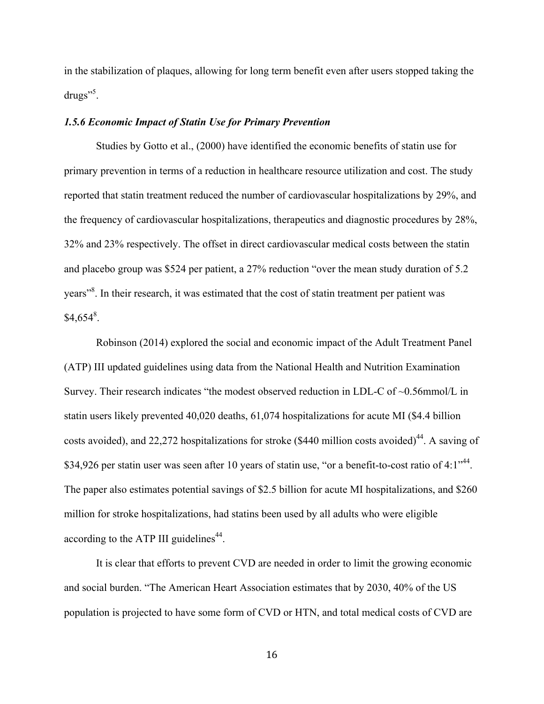in the stabilization of plaques, allowing for long term benefit even after users stopped taking the drugs"<sup>5</sup>.

#### *1.5.6 Economic Impact of Statin Use for Primary Prevention*

Studies by Gotto et al., (2000) have identified the economic benefits of statin use for primary prevention in terms of a reduction in healthcare resource utilization and cost. The study reported that statin treatment reduced the number of cardiovascular hospitalizations by 29%, and the frequency of cardiovascular hospitalizations, therapeutics and diagnostic procedures by 28%, 32% and 23% respectively. The offset in direct cardiovascular medical costs between the statin and placebo group was \$524 per patient, a 27% reduction "over the mean study duration of 5.2 years<sup>38</sup>. In their research, it was estimated that the cost of statin treatment per patient was  $$4,654^8$ .

Robinson (2014) explored the social and economic impact of the Adult Treatment Panel (ATP) III updated guidelines using data from the National Health and Nutrition Examination Survey. Their research indicates "the modest observed reduction in LDL-C of ~0.56mmol/L in statin users likely prevented 40,020 deaths, 61,074 hospitalizations for acute MI (\$4.4 billion costs avoided), and 22,272 hospitalizations for stroke (\$440 million costs avoided)<sup>44</sup>. A saving of \$34,926 per statin user was seen after 10 years of statin use, "or a benefit-to-cost ratio of 4:1"<sup>44</sup>. The paper also estimates potential savings of \$2.5 billion for acute MI hospitalizations, and \$260 million for stroke hospitalizations, had statins been used by all adults who were eligible according to the ATP III guidelines<sup> $44$ </sup>.

It is clear that efforts to prevent CVD are needed in order to limit the growing economic and social burden. "The American Heart Association estimates that by 2030, 40% of the US population is projected to have some form of CVD or HTN, and total medical costs of CVD are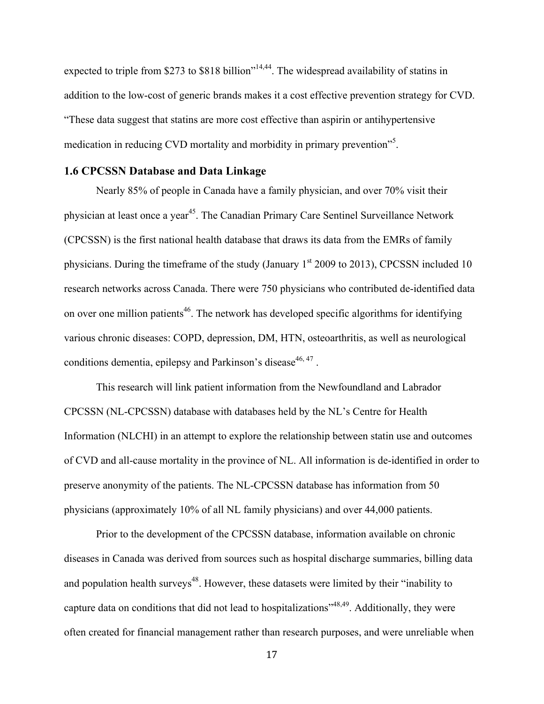expected to triple from \$273 to \$818 billion"<sup>14,44</sup>. The widespread availability of statins in addition to the low-cost of generic brands makes it a cost effective prevention strategy for CVD. "These data suggest that statins are more cost effective than aspirin or antihypertensive medication in reducing CVD mortality and morbidity in primary prevention<sup>55</sup>.

### **1.6 CPCSSN Database and Data Linkage**

Nearly 85% of people in Canada have a family physician, and over 70% visit their physician at least once a year<sup>45</sup>. The Canadian Primary Care Sentinel Surveillance Network (CPCSSN) is the first national health database that draws its data from the EMRs of family physicians. During the timeframe of the study (January 1<sup>st</sup> 2009 to 2013), CPCSSN included 10 research networks across Canada. There were 750 physicians who contributed de-identified data on over one million patients<sup>46</sup>. The network has developed specific algorithms for identifying various chronic diseases: COPD, depression, DM, HTN, osteoarthritis, as well as neurological conditions dementia, epilepsy and Parkinson's disease  $46, 47$ .

This research will link patient information from the Newfoundland and Labrador CPCSSN (NL-CPCSSN) database with databases held by the NL's Centre for Health Information (NLCHI) in an attempt to explore the relationship between statin use and outcomes of CVD and all-cause mortality in the province of NL. All information is de-identified in order to preserve anonymity of the patients. The NL-CPCSSN database has information from 50 physicians (approximately 10% of all NL family physicians) and over 44,000 patients.

Prior to the development of the CPCSSN database, information available on chronic diseases in Canada was derived from sources such as hospital discharge summaries, billing data and population health surveys<sup>48</sup>. However, these datasets were limited by their "inability to capture data on conditions that did not lead to hospitalizations<sup> $348,49$ </sup>. Additionally, they were often created for financial management rather than research purposes, and were unreliable when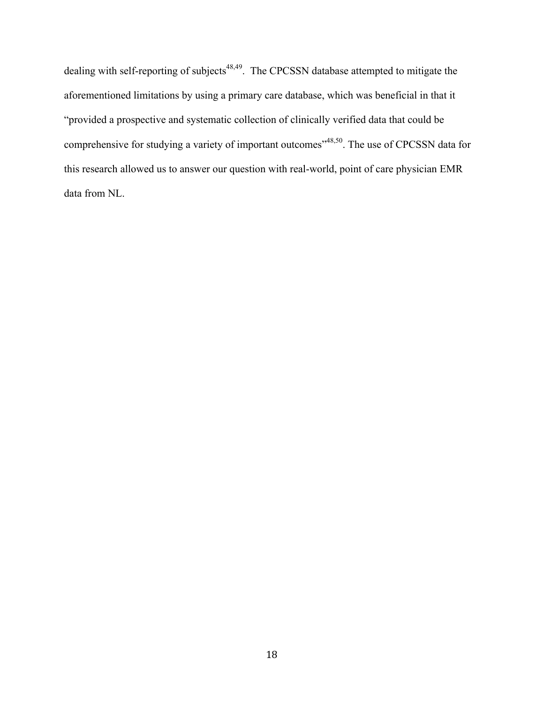dealing with self-reporting of subjects<sup>48,49</sup>. The CPCSSN database attempted to mitigate the aforementioned limitations by using a primary care database, which was beneficial in that it "provided a prospective and systematic collection of clinically verified data that could be comprehensive for studying a variety of important outcomes<sup>"48,50</sup>. The use of CPCSSN data for this research allowed us to answer our question with real-world, point of care physician EMR data from NL.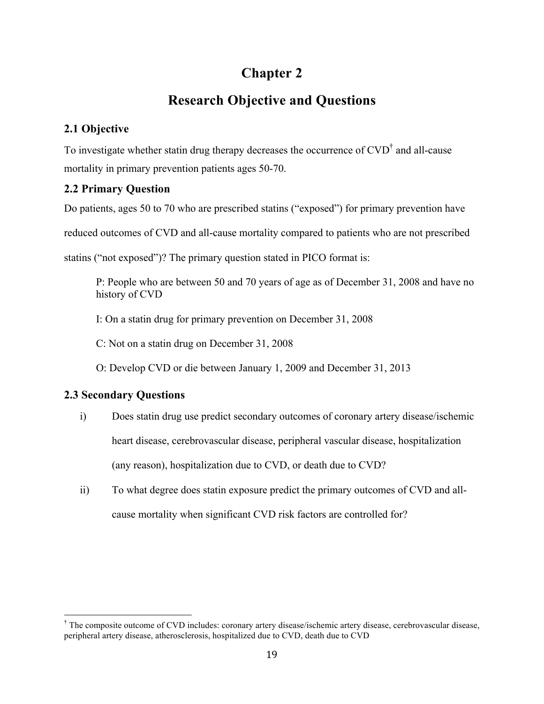# **Chapter 2**

# **Research Objective and Questions**

### **2.1 Objective**

To investigate whether statin drug therapy decreases the occurrence of  $CVD^{\dagger}$  and all-cause mortality in primary prevention patients ages 50-70.

### **2.2 Primary Question**

Do patients, ages 50 to 70 who are prescribed statins ("exposed") for primary prevention have

reduced outcomes of CVD and all-cause mortality compared to patients who are not prescribed

statins ("not exposed")? The primary question stated in PICO format is:

P: People who are between 50 and 70 years of age as of December 31, 2008 and have no history of CVD

I: On a statin drug for primary prevention on December 31, 2008

C: Not on a statin drug on December 31, 2008

O: Develop CVD or die between January 1, 2009 and December 31, 2013

### **2.3 Secondary Questions**

- i) Does statin drug use predict secondary outcomes of coronary artery disease/ischemic heart disease, cerebrovascular disease, peripheral vascular disease, hospitalization (any reason), hospitalization due to CVD, or death due to CVD?
- ii) To what degree does statin exposure predict the primary outcomes of CVD and allcause mortality when significant CVD risk factors are controlled for?

 † The composite outcome of CVD includes: coronary artery disease/ischemic artery disease, cerebrovascular disease, peripheral artery disease, atherosclerosis, hospitalized due to CVD, death due to CVD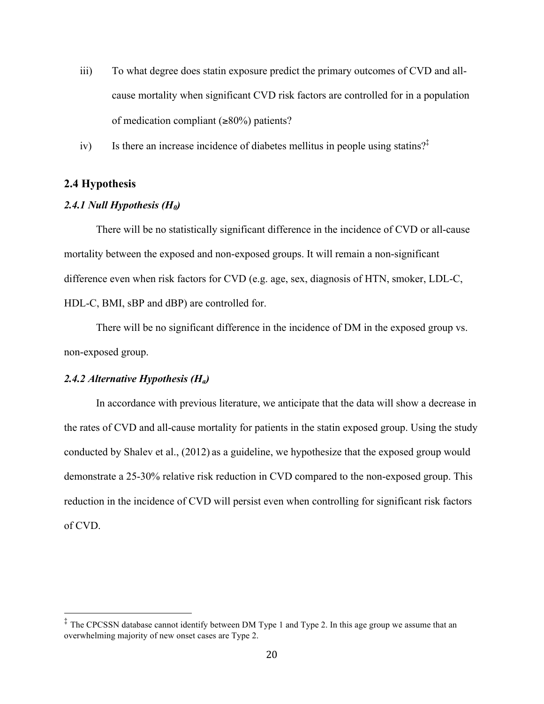- iii) To what degree does statin exposure predict the primary outcomes of CVD and allcause mortality when significant CVD risk factors are controlled for in a population of medication compliant  $(\geq 80\%)$  patients?
- iv) Is there an increase incidence of diabetes mellitus in people using statins?‡

#### **2.4 Hypothesis**

#### *2.4.1 Null Hypothesis (H0)*

There will be no statistically significant difference in the incidence of CVD or all-cause mortality between the exposed and non-exposed groups. It will remain a non-significant difference even when risk factors for CVD (e.g. age, sex, diagnosis of HTN, smoker, LDL-C, HDL-C, BMI, sBP and dBP) are controlled for.

There will be no significant difference in the incidence of DM in the exposed group vs. non-exposed group.

#### *2.4.2 Alternative Hypothesis (Ha)*

In accordance with previous literature, we anticipate that the data will show a decrease in the rates of CVD and all-cause mortality for patients in the statin exposed group. Using the study conducted by Shalev et al., (2012) as a guideline, we hypothesize that the exposed group would demonstrate a 25-30% relative risk reduction in CVD compared to the non-exposed group. This reduction in the incidence of CVD will persist even when controlling for significant risk factors of CVD.

 ‡ The CPCSSN database cannot identify between DM Type 1 and Type 2. In this age group we assume that an overwhelming majority of new onset cases are Type 2.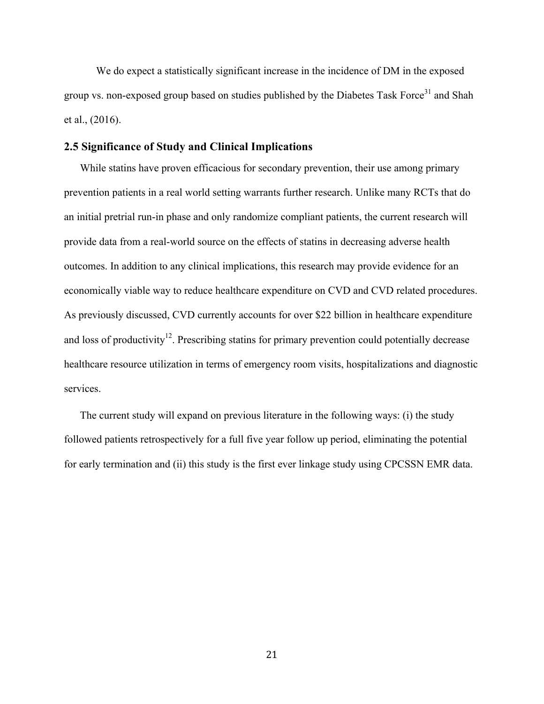We do expect a statistically significant increase in the incidence of DM in the exposed group vs. non-exposed group based on studies published by the Diabetes Task Force<sup>31</sup> and Shah et al., (2016).

### **2.5 Significance of Study and Clinical Implications**

While statins have proven efficacious for secondary prevention, their use among primary prevention patients in a real world setting warrants further research. Unlike many RCTs that do an initial pretrial run-in phase and only randomize compliant patients, the current research will provide data from a real-world source on the effects of statins in decreasing adverse health outcomes. In addition to any clinical implications, this research may provide evidence for an economically viable way to reduce healthcare expenditure on CVD and CVD related procedures. As previously discussed, CVD currently accounts for over \$22 billion in healthcare expenditure and loss of productivity<sup>12</sup>. Prescribing statins for primary prevention could potentially decrease healthcare resource utilization in terms of emergency room visits, hospitalizations and diagnostic services.

The current study will expand on previous literature in the following ways: (i) the study followed patients retrospectively for a full five year follow up period, eliminating the potential for early termination and (ii) this study is the first ever linkage study using CPCSSN EMR data.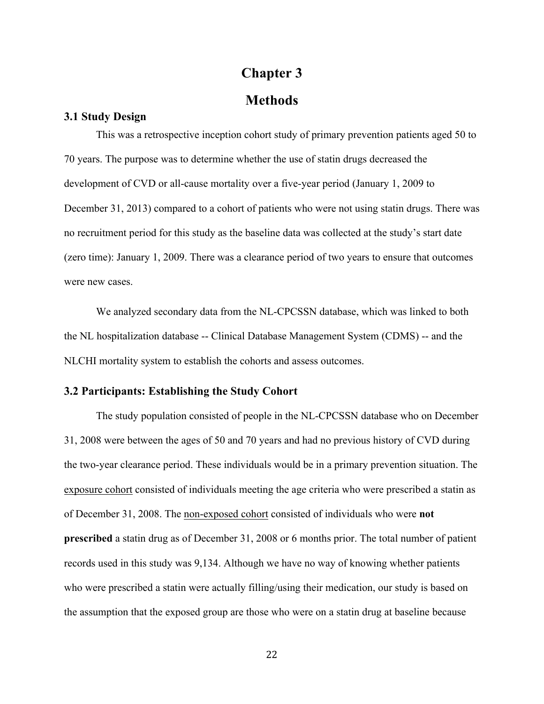### **Chapter 3**

### **Methods**

#### **3.1 Study Design**

This was a retrospective inception cohort study of primary prevention patients aged 50 to 70 years. The purpose was to determine whether the use of statin drugs decreased the development of CVD or all-cause mortality over a five-year period (January 1, 2009 to December 31, 2013) compared to a cohort of patients who were not using statin drugs. There was no recruitment period for this study as the baseline data was collected at the study's start date (zero time): January 1, 2009. There was a clearance period of two years to ensure that outcomes were new cases.

We analyzed secondary data from the NL-CPCSSN database, which was linked to both the NL hospitalization database -- Clinical Database Management System (CDMS) -- and the NLCHI mortality system to establish the cohorts and assess outcomes.

#### **3.2 Participants: Establishing the Study Cohort**

The study population consisted of people in the NL-CPCSSN database who on December 31, 2008 were between the ages of 50 and 70 years and had no previous history of CVD during the two-year clearance period. These individuals would be in a primary prevention situation. The exposure cohort consisted of individuals meeting the age criteria who were prescribed a statin as of December 31, 2008. The non-exposed cohort consisted of individuals who were **not prescribed** a statin drug as of December 31, 2008 or 6 months prior. The total number of patient records used in this study was 9,134. Although we have no way of knowing whether patients who were prescribed a statin were actually filling/using their medication, our study is based on the assumption that the exposed group are those who were on a statin drug at baseline because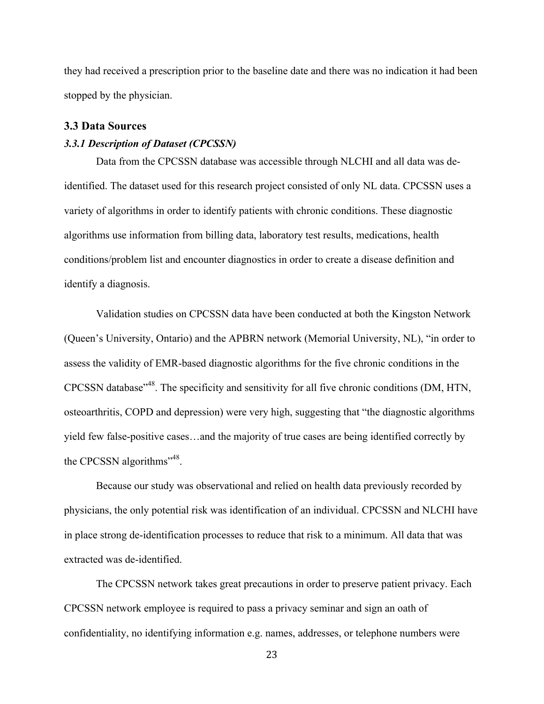they had received a prescription prior to the baseline date and there was no indication it had been stopped by the physician.

#### **3.3 Data Sources**

#### *3.3.1 Description of Dataset (CPCSSN)*

Data from the CPCSSN database was accessible through NLCHI and all data was deidentified. The dataset used for this research project consisted of only NL data. CPCSSN uses a variety of algorithms in order to identify patients with chronic conditions. These diagnostic algorithms use information from billing data, laboratory test results, medications, health conditions/problem list and encounter diagnostics in order to create a disease definition and identify a diagnosis.

Validation studies on CPCSSN data have been conducted at both the Kingston Network (Queen's University, Ontario) and the APBRN network (Memorial University, NL), "in order to assess the validity of EMR-based diagnostic algorithms for the five chronic conditions in the CPCSSN database"48. The specificity and sensitivity for all five chronic conditions (DM, HTN, osteoarthritis, COPD and depression) were very high, suggesting that "the diagnostic algorithms yield few false-positive cases…and the majority of true cases are being identified correctly by the CPCSSN algorithms<sup>"48</sup>.

Because our study was observational and relied on health data previously recorded by physicians, the only potential risk was identification of an individual. CPCSSN and NLCHI have in place strong de-identification processes to reduce that risk to a minimum. All data that was extracted was de-identified.

The CPCSSN network takes great precautions in order to preserve patient privacy. Each CPCSSN network employee is required to pass a privacy seminar and sign an oath of confidentiality, no identifying information e.g. names, addresses, or telephone numbers were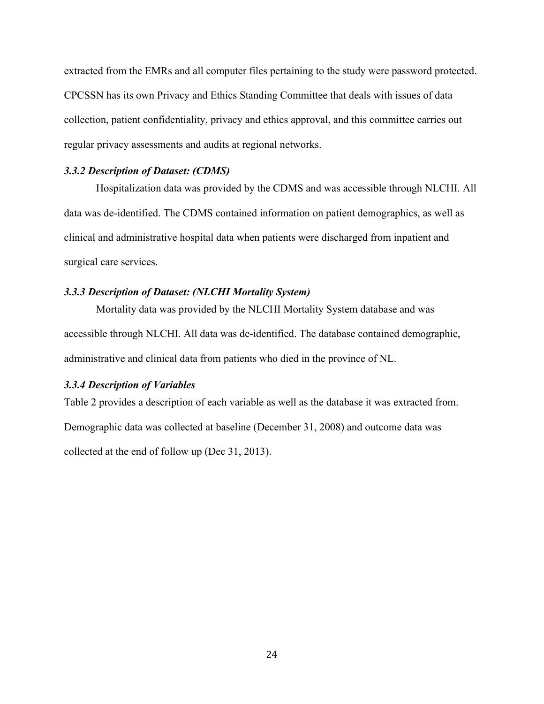extracted from the EMRs and all computer files pertaining to the study were password protected. CPCSSN has its own Privacy and Ethics Standing Committee that deals with issues of data collection, patient confidentiality, privacy and ethics approval, and this committee carries out regular privacy assessments and audits at regional networks.

#### *3.3.2 Description of Dataset: (CDMS)*

Hospitalization data was provided by the CDMS and was accessible through NLCHI. All data was de-identified. The CDMS contained information on patient demographics, as well as clinical and administrative hospital data when patients were discharged from inpatient and surgical care services.

#### *3.3.3 Description of Dataset: (NLCHI Mortality System)*

Mortality data was provided by the NLCHI Mortality System database and was accessible through NLCHI. All data was de-identified. The database contained demographic, administrative and clinical data from patients who died in the province of NL.

#### *3.3.4 Description of Variables*

Table 2 provides a description of each variable as well as the database it was extracted from. Demographic data was collected at baseline (December 31, 2008) and outcome data was collected at the end of follow up (Dec 31, 2013).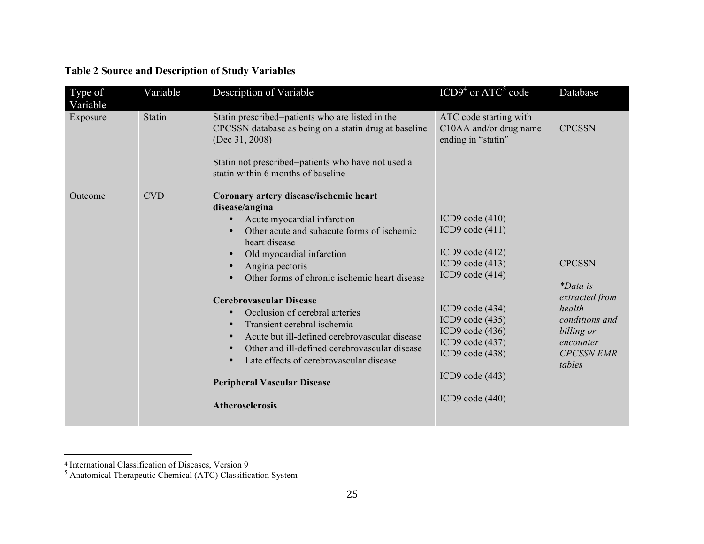| Type of<br>Variable | Variable   | Description of Variable                                                                                                                                                                                                                                                                                                                                                                                                                                                                                                                                                              | $ICD94$ or $ATC5$ code                                                                                                                                                                                                                             | Database                                                                                                                                 |
|---------------------|------------|--------------------------------------------------------------------------------------------------------------------------------------------------------------------------------------------------------------------------------------------------------------------------------------------------------------------------------------------------------------------------------------------------------------------------------------------------------------------------------------------------------------------------------------------------------------------------------------|----------------------------------------------------------------------------------------------------------------------------------------------------------------------------------------------------------------------------------------------------|------------------------------------------------------------------------------------------------------------------------------------------|
| Exposure            | Statin     | Statin prescribed=patients who are listed in the<br>CPCSSN database as being on a statin drug at baseline<br>(Dec $31, 2008$ )<br>Statin not prescribed=patients who have not used a<br>statin within 6 months of baseline                                                                                                                                                                                                                                                                                                                                                           | ATC code starting with<br>C10AA and/or drug name<br>ending in "statin"                                                                                                                                                                             | <b>CPCSSN</b>                                                                                                                            |
| Outcome             | <b>CVD</b> | Coronary artery disease/ischemic heart<br>disease/angina<br>Acute myocardial infarction<br>$\bullet$<br>Other acute and subacute forms of ischemic<br>heart disease<br>Old myocardial infarction<br>Angina pectoris<br>Other forms of chronic ischemic heart disease<br><b>Cerebrovascular Disease</b><br>Occlusion of cerebral arteries<br>Transient cerebral ischemia<br>Acute but ill-defined cerebrovascular disease<br>Other and ill-defined cerebrovascular disease<br>Late effects of cerebrovascular disease<br><b>Peripheral Vascular Disease</b><br><b>Atherosclerosis</b> | ICD9 code $(410)$<br>ICD9 code $(411)$<br>ICD9 code $(412)$<br>ICD9 code $(413)$<br>ICD9 code $(414)$<br>ICD9 code $(434)$<br>ICD9 code (435)<br>ICD9 code (436)<br>ICD9 code (437)<br>ICD9 code $(438)$<br>ICD9 code $(443)$<br>ICD9 code $(440)$ | <b>CPCSSN</b><br><i>*Data is</i><br>extracted from<br>health<br>conditions and<br>billing or<br>encounter<br><b>CPCSSN EMR</b><br>tables |

## **Table 2 Source and Description of Study Variables**

<sup>4</sup> International Classification of Diseases, Version 9

 $<sup>5</sup>$  Anatomical Therapeutic Chemical (ATC) Classification System</sup>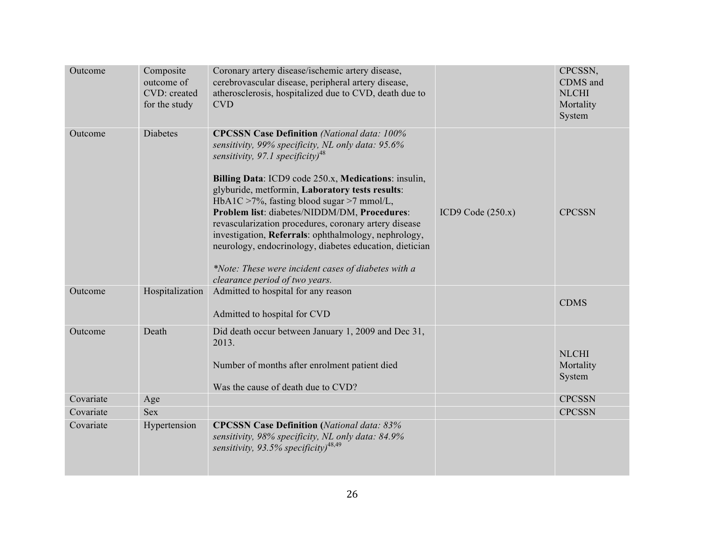| Outcome   | Composite<br>outcome of<br>CVD: created<br>for the study | Coronary artery disease/ischemic artery disease,<br>cerebrovascular disease, peripheral artery disease,<br>atherosclerosis, hospitalized due to CVD, death due to<br><b>CVD</b>                                                                                                                                                                                                                                                                                                                                                                                                                                                      |                     | CPCSSN,<br>CDMS and<br><b>NLCHI</b><br>Mortality<br>System |
|-----------|----------------------------------------------------------|--------------------------------------------------------------------------------------------------------------------------------------------------------------------------------------------------------------------------------------------------------------------------------------------------------------------------------------------------------------------------------------------------------------------------------------------------------------------------------------------------------------------------------------------------------------------------------------------------------------------------------------|---------------------|------------------------------------------------------------|
| Outcome   | <b>Diabetes</b>                                          | <b>CPCSSN Case Definition</b> (National data: 100%<br>sensitivity, 99% specificity, NL only data: 95.6%<br>sensitivity, 97.1 specificity) <sup>48</sup><br>Billing Data: ICD9 code 250.x, Medications: insulin,<br>glyburide, metformin, Laboratory tests results:<br>HbA1C >7%, fasting blood sugar >7 mmol/L,<br>Problem list: diabetes/NIDDM/DM, Procedures:<br>revascularization procedures, coronary artery disease<br>investigation, Referrals: ophthalmology, nephrology,<br>neurology, endocrinology, diabetes education, dietician<br>*Note: These were incident cases of diabetes with a<br>clearance period of two years. | ICD9 Code $(250.x)$ | <b>CPCSSN</b>                                              |
| Outcome   | Hospitalization                                          | Admitted to hospital for any reason<br>Admitted to hospital for CVD                                                                                                                                                                                                                                                                                                                                                                                                                                                                                                                                                                  |                     | <b>CDMS</b>                                                |
| Outcome   | Death                                                    | Did death occur between January 1, 2009 and Dec 31,<br>2013.<br>Number of months after enrolment patient died<br>Was the cause of death due to CVD?                                                                                                                                                                                                                                                                                                                                                                                                                                                                                  |                     | <b>NLCHI</b><br>Mortality<br>System                        |
| Covariate | Age                                                      |                                                                                                                                                                                                                                                                                                                                                                                                                                                                                                                                                                                                                                      |                     | <b>CPCSSN</b>                                              |
| Covariate | <b>Sex</b>                                               |                                                                                                                                                                                                                                                                                                                                                                                                                                                                                                                                                                                                                                      |                     | <b>CPCSSN</b>                                              |
| Covariate | Hypertension                                             | <b>CPCSSN Case Definition (National data: 83%</b><br>sensitivity, 98% specificity, NL only data: 84.9%<br>sensitivity, 93.5% specificity) <sup>48,49</sup>                                                                                                                                                                                                                                                                                                                                                                                                                                                                           |                     |                                                            |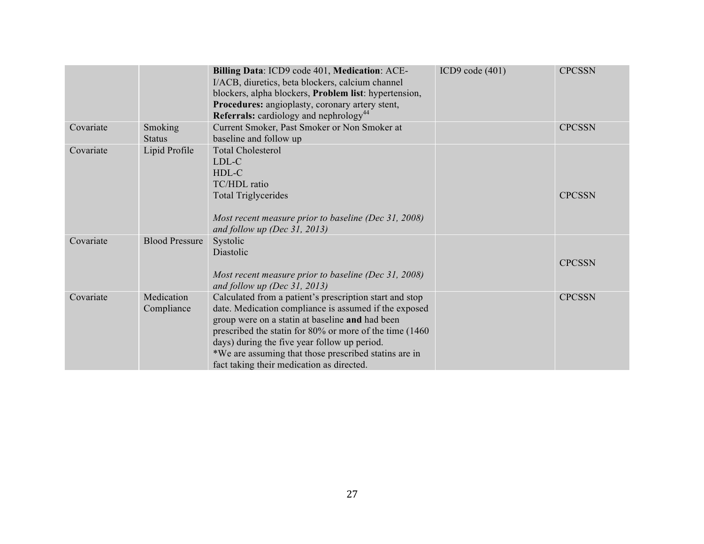|           |                          | Billing Data: ICD9 code 401, Medication: ACE-<br>I/ACB, diuretics, beta blockers, calcium channel<br>blockers, alpha blockers, <b>Problem list</b> : hypertension,<br>Procedures: angioplasty, coronary artery stent,<br><b>Referrals:</b> cardiology and nephrology <sup>44</sup>                                                                                                    | ICD9 code $(401)$ | <b>CPCSSN</b> |
|-----------|--------------------------|---------------------------------------------------------------------------------------------------------------------------------------------------------------------------------------------------------------------------------------------------------------------------------------------------------------------------------------------------------------------------------------|-------------------|---------------|
| Covariate | Smoking<br><b>Status</b> | Current Smoker, Past Smoker or Non Smoker at<br>baseline and follow up                                                                                                                                                                                                                                                                                                                |                   | <b>CPCSSN</b> |
| Covariate | Lipid Profile            | <b>Total Cholesterol</b><br>LDL-C<br>HDL-C<br>TC/HDL ratio<br><b>Total Triglycerides</b><br>Most recent measure prior to baseline (Dec 31, 2008)<br>and follow up (Dec $31, 2013$ )                                                                                                                                                                                                   |                   | <b>CPCSSN</b> |
| Covariate | <b>Blood Pressure</b>    | Systolic<br>Diastolic<br>Most recent measure prior to baseline (Dec 31, 2008)<br>and follow up (Dec $31, 2013$ )                                                                                                                                                                                                                                                                      |                   | <b>CPCSSN</b> |
| Covariate | Medication<br>Compliance | Calculated from a patient's prescription start and stop<br>date. Medication compliance is assumed if the exposed<br>group were on a statin at baseline and had been<br>prescribed the statin for 80% or more of the time (1460)<br>days) during the five year follow up period.<br>*We are assuming that those prescribed statins are in<br>fact taking their medication as directed. |                   | <b>CPCSSN</b> |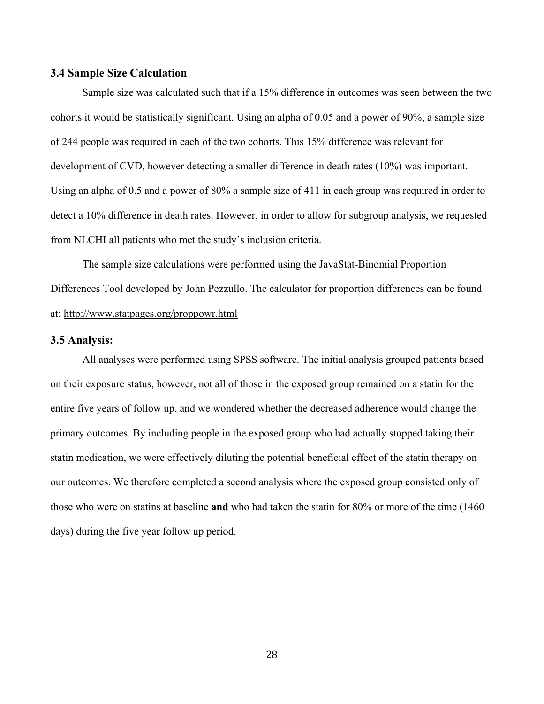#### **3.4 Sample Size Calculation**

Sample size was calculated such that if a 15% difference in outcomes was seen between the two cohorts it would be statistically significant. Using an alpha of 0.05 and a power of 90%, a sample size of 244 people was required in each of the two cohorts. This 15% difference was relevant for development of CVD, however detecting a smaller difference in death rates (10%) was important. Using an alpha of 0.5 and a power of 80% a sample size of 411 in each group was required in order to detect a 10% difference in death rates. However, in order to allow for subgroup analysis, we requested from NLCHI all patients who met the study's inclusion criteria.

The sample size calculations were performed using the JavaStat-Binomial Proportion Differences Tool developed by John Pezzullo. The calculator for proportion differences can be found at: http://www.statpages.org/proppowr.html

#### **3.5 Analysis:**

All analyses were performed using SPSS software. The initial analysis grouped patients based on their exposure status, however, not all of those in the exposed group remained on a statin for the entire five years of follow up, and we wondered whether the decreased adherence would change the primary outcomes. By including people in the exposed group who had actually stopped taking their statin medication, we were effectively diluting the potential beneficial effect of the statin therapy on our outcomes. We therefore completed a second analysis where the exposed group consisted only of those who were on statins at baseline **and** who had taken the statin for 80% or more of the time (1460 days) during the five year follow up period.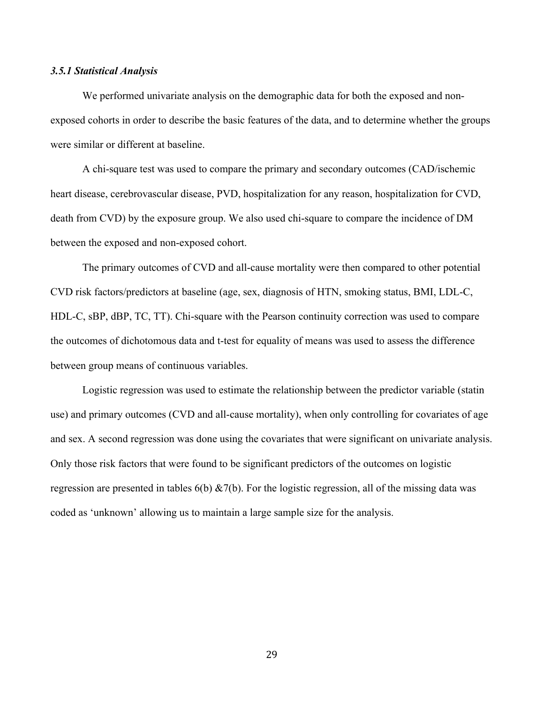#### *3.5.1 Statistical Analysis*

We performed univariate analysis on the demographic data for both the exposed and nonexposed cohorts in order to describe the basic features of the data, and to determine whether the groups were similar or different at baseline.

A chi-square test was used to compare the primary and secondary outcomes (CAD/ischemic heart disease, cerebrovascular disease, PVD, hospitalization for any reason, hospitalization for CVD, death from CVD) by the exposure group. We also used chi-square to compare the incidence of DM between the exposed and non-exposed cohort.

The primary outcomes of CVD and all-cause mortality were then compared to other potential CVD risk factors/predictors at baseline (age, sex, diagnosis of HTN, smoking status, BMI, LDL-C, HDL-C, sBP, dBP, TC, TT). Chi-square with the Pearson continuity correction was used to compare the outcomes of dichotomous data and t-test for equality of means was used to assess the difference between group means of continuous variables.

Logistic regression was used to estimate the relationship between the predictor variable (statin use) and primary outcomes (CVD and all-cause mortality), when only controlling for covariates of age and sex. A second regression was done using the covariates that were significant on univariate analysis. Only those risk factors that were found to be significant predictors of the outcomes on logistic regression are presented in tables  $6(b) \& 7(b)$ . For the logistic regression, all of the missing data was coded as 'unknown' allowing us to maintain a large sample size for the analysis.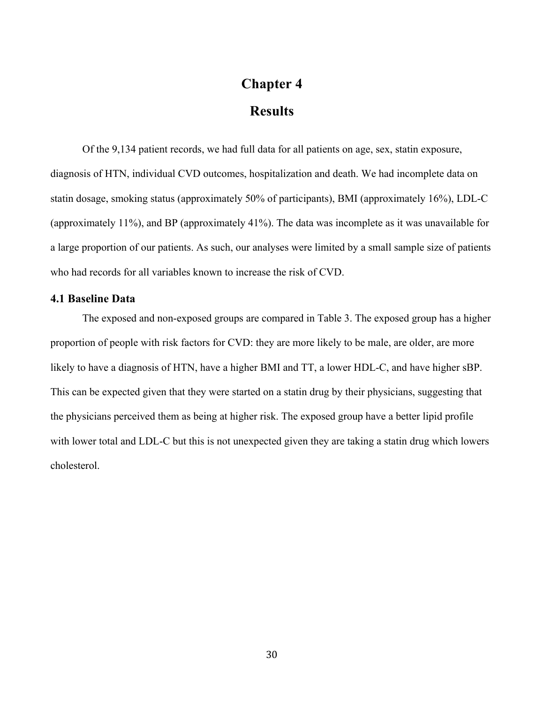# **Chapter 4 Results**

Of the 9,134 patient records, we had full data for all patients on age, sex, statin exposure, diagnosis of HTN, individual CVD outcomes, hospitalization and death. We had incomplete data on statin dosage, smoking status (approximately 50% of participants), BMI (approximately 16%), LDL-C (approximately 11%), and BP (approximately 41%). The data was incomplete as it was unavailable for a large proportion of our patients. As such, our analyses were limited by a small sample size of patients who had records for all variables known to increase the risk of CVD.

#### **4.1 Baseline Data**

The exposed and non-exposed groups are compared in Table 3. The exposed group has a higher proportion of people with risk factors for CVD: they are more likely to be male, are older, are more likely to have a diagnosis of HTN, have a higher BMI and TT, a lower HDL-C, and have higher sBP. This can be expected given that they were started on a statin drug by their physicians, suggesting that the physicians perceived them as being at higher risk. The exposed group have a better lipid profile with lower total and LDL-C but this is not unexpected given they are taking a statin drug which lowers cholesterol.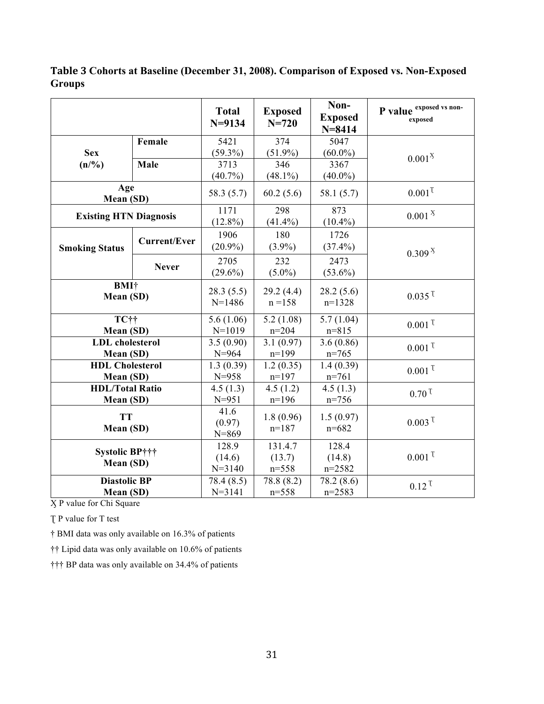|                                    |                     | <b>Total</b><br>$N = 9134$  | <b>Exposed</b><br>$N = 720$ | Non-<br><b>Exposed</b><br>$N = 8414$ | P value exposed vs non-<br>exposed |
|------------------------------------|---------------------|-----------------------------|-----------------------------|--------------------------------------|------------------------------------|
|                                    | Female              | 5421                        | $\frac{374}{ }$             | 5047                                 |                                    |
| <b>Sex</b>                         |                     | $(59.3\%)$                  | $(51.9\%)$                  | $(60.0\%)$                           | $0.001^{X}$                        |
| (n/%)                              | Male                | 3713                        | 346                         | 3367                                 |                                    |
|                                    |                     | $(40.7\%)$                  | $(48.1\%)$                  | $(40.0\%)$                           |                                    |
| Age<br>Mean (SD)                   |                     | 58.3 (5.7)                  | 60.2(5.6)                   | 58.1 (5.7)                           | $0.001$ <sup>T</sup>               |
| <b>Existing HTN Diagnosis</b>      |                     | 1171                        | 298                         | 873                                  | 0.001 <sup>X</sup>                 |
|                                    |                     | $(12.8\%)$                  | $(41.4\%)$                  | $(10.4\%)$                           |                                    |
|                                    | <b>Current/Ever</b> | 1906                        | 180                         | 1726                                 |                                    |
| <b>Smoking Status</b>              |                     | $(20.9\%)$                  | $(3.9\%)$                   | $(37.4\%)$                           | 0.309 <sup>X</sup>                 |
|                                    |                     | 2705                        | 232                         | 2473                                 |                                    |
|                                    | <b>Never</b>        | $(29.6\%)$                  | $(5.0\%)$                   | $(53.6\%)$                           |                                    |
| <b>BMI</b> †<br>Mean (SD)          |                     | 28.3(5.5)<br>$N=1486$       | 29.2(4.4)<br>$n = 158$      | 28.2(5.6)<br>$n=1328$                | $0.035$ <sup>T</sup>               |
| TC††                               |                     | 5.6(1.06)                   | 5.2(1.08)                   | 5.7(1.04)                            | $0.001$ <sup>T</sup>               |
| Mean (SD)                          |                     | $N=1019$                    | $n = 204$                   | $n = 815$                            |                                    |
| <b>LDL</b> cholesterol             |                     | 3.5(0.90)                   | $\overline{3.1(0.97)}$      | 3.6(0.86)                            | $0.001$ <sup>T</sup>               |
| Mean (SD)                          |                     | $N = 964$                   | $n=199$                     | $n=765$                              |                                    |
| <b>HDL Cholesterol</b>             |                     | 1.3(0.39)                   | 1.2(0.35)                   | 1.4(0.39)                            | $0.001$ <sup>T</sup>               |
| Mean (SD)                          |                     | $N = 958$                   | $n=197$                     | $n=761$                              |                                    |
| <b>HDL/Total Ratio</b>             |                     | 4.5(1.3)                    | 4.5(1.2)                    | 4.5(1.3)                             | $0.70$ <sup>T</sup>                |
| Mean (SD)                          |                     | $N = 951$                   | $n=196$                     | $n = 756$                            |                                    |
| <b>TT</b><br>Mean (SD)             |                     | 41.6<br>(0.97)<br>$N = 869$ | 1.8(0.96)<br>$n=187$        | 1.5(0.97)<br>$n = 682$               | $0.003$ <sup>T</sup>               |
| <b>Systolic BP†††</b><br>Mean (SD) |                     | 128.9                       | 131.4.7                     | 128.4                                |                                    |
|                                    |                     | (14.6)                      | (13.7)                      | (14.8)                               | $0.001$ <sup>T</sup>               |
|                                    |                     | $N = 3140$                  | $n = 558$                   | $n = 2582$                           |                                    |
| <b>Diastolic BP</b>                |                     | 78.4 (8.5)                  | 78.8 (8.2)                  | 78.2 (8.6)                           | $0.12$ <sup>T</sup>                |
| Mean (SD)                          |                     | $N = 3141$                  | $n = 558$                   | $n = 2583$                           |                                    |

**Table 3 Cohorts at Baseline (December 31, 2008). Comparison of Exposed vs. Non-Exposed Groups**

Ӽ P value for Chi Square

T P value for T test

† BMI data was only available on 16.3% of patients

†† Lipid data was only available on 10.6% of patients

††† BP data was only available on 34.4% of patients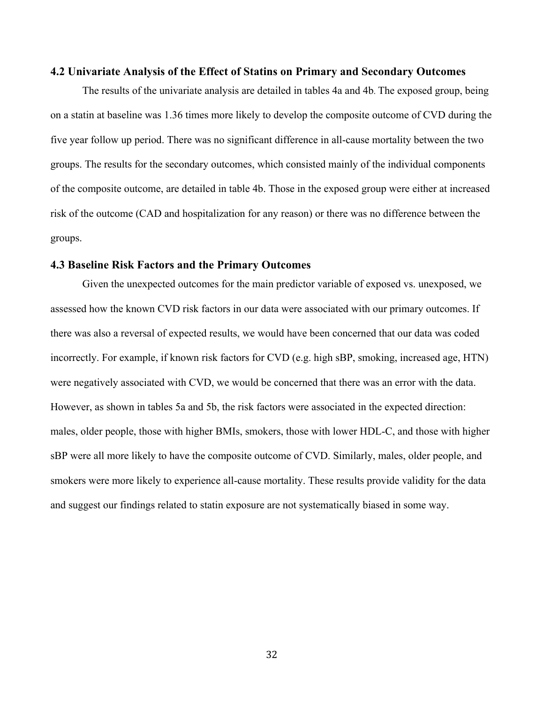#### **4.2 Univariate Analysis of the Effect of Statins on Primary and Secondary Outcomes**

The results of the univariate analysis are detailed in tables 4a and 4b. The exposed group, being on a statin at baseline was 1.36 times more likely to develop the composite outcome of CVD during the five year follow up period. There was no significant difference in all-cause mortality between the two groups. The results for the secondary outcomes, which consisted mainly of the individual components of the composite outcome, are detailed in table 4b. Those in the exposed group were either at increased risk of the outcome (CAD and hospitalization for any reason) or there was no difference between the groups.

#### **4.3 Baseline Risk Factors and the Primary Outcomes**

Given the unexpected outcomes for the main predictor variable of exposed vs. unexposed, we assessed how the known CVD risk factors in our data were associated with our primary outcomes. If there was also a reversal of expected results, we would have been concerned that our data was coded incorrectly. For example, if known risk factors for CVD (e.g. high sBP, smoking, increased age, HTN) were negatively associated with CVD, we would be concerned that there was an error with the data. However, as shown in tables 5a and 5b, the risk factors were associated in the expected direction: males, older people, those with higher BMIs, smokers, those with lower HDL-C, and those with higher sBP were all more likely to have the composite outcome of CVD. Similarly, males, older people, and smokers were more likely to experience all-cause mortality. These results provide validity for the data and suggest our findings related to statin exposure are not systematically biased in some way.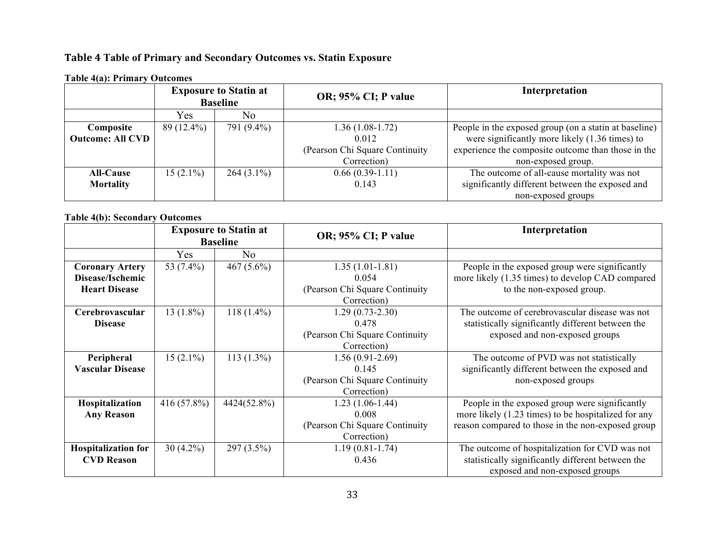## **Table 4 Table of Primary and Secondary Outcomes vs. Statin Exposure**

|                         | <b>Exposure to Statin at</b><br><b>Baseline</b> |                |                                 |                                                       | OR; 95% CI; P value | Interpretation |
|-------------------------|-------------------------------------------------|----------------|---------------------------------|-------------------------------------------------------|---------------------|----------------|
|                         | Yes                                             | N <sub>0</sub> |                                 |                                                       |                     |                |
| Composite               | $89(12.4\%)$                                    | 791 (9.4%)     | $1.36(1.08-1.72)$               | People in the exposed group (on a statin at baseline) |                     |                |
| <b>Outcome: All CVD</b> |                                                 |                | 0.012                           | were significantly more likely (1.36 times) to        |                     |                |
|                         |                                                 |                | (Pearson Chi Square Continuity) | experience the composite outcome than those in the    |                     |                |
|                         |                                                 |                | Correction)                     | non-exposed group.                                    |                     |                |
| <b>All-Cause</b>        | $15(2.1\%)$                                     | $264(3.1\%)$   | $0.66(0.39-1.11)$               | The outcome of all-cause mortality was not            |                     |                |
| <b>Mortality</b>        |                                                 |                | 0.143                           | significantly different between the exposed and       |                     |                |
|                         |                                                 |                |                                 | non-exposed groups                                    |                     |                |

#### **Table 4(a): Primary Outcomes**

#### **Table 4(b): Secondary Outcomes**

|                                                                    | <b>Exposure to Statin at</b><br><b>Baseline</b> |               | OR; 95% CI; P value                                                            | Interpretation                                                                                                                                             |
|--------------------------------------------------------------------|-------------------------------------------------|---------------|--------------------------------------------------------------------------------|------------------------------------------------------------------------------------------------------------------------------------------------------------|
|                                                                    | Yes                                             | No            |                                                                                |                                                                                                                                                            |
| <b>Coronary Artery</b><br>Disease/Ischemic<br><b>Heart Disease</b> | 53 (7.4%)                                       | 467 $(5.6\%)$ | $1.35(1.01-1.81)$<br>0.054<br>(Pearson Chi Square Continuity<br>Correction)    | People in the exposed group were significantly<br>more likely (1.35 times) to develop CAD compared<br>to the non-exposed group.                            |
| Cerebrovascular<br><b>Disease</b>                                  | $13(1.8\%)$                                     | $118(1.4\%)$  | $1.29(0.73 - 2.30)$<br>0.478<br>(Pearson Chi Square Continuity)<br>Correction) | The outcome of cerebrovascular disease was not<br>statistically significantly different between the<br>exposed and non-exposed groups                      |
| Peripheral<br><b>Vascular Disease</b>                              | $15(2.1\%)$                                     | $113(1.3\%)$  | $1.56(0.91-2.69)$<br>0.145<br>(Pearson Chi Square Continuity)<br>Correction)   | The outcome of PVD was not statistically<br>significantly different between the exposed and<br>non-exposed groups                                          |
| Hospitalization<br><b>Any Reason</b>                               | 416 (57.8%)                                     | 4424(52.8%)   | $1.23(1.06-1.44)$<br>0.008<br>(Pearson Chi Square Continuity<br>Correction)    | People in the exposed group were significantly<br>more likely (1.23 times) to be hospitalized for any<br>reason compared to those in the non-exposed group |
| <b>Hospitalization for</b><br><b>CVD Reason</b>                    | $30(4.2\%)$                                     | $297(3.5\%)$  | 1.19 (0.81-1.74)<br>0.436                                                      | The outcome of hospitalization for CVD was not<br>statistically significantly different between the<br>exposed and non-exposed groups                      |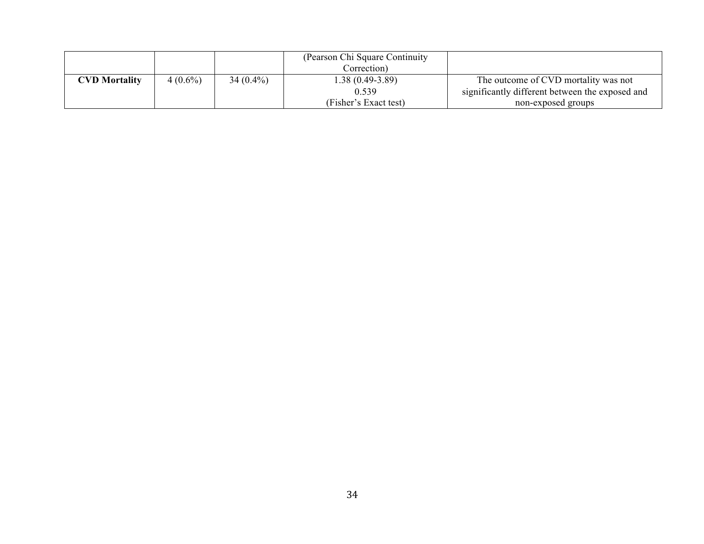|                      |            |             | (Pearson Chi Square Continuity)<br>Correction) |                                                 |
|----------------------|------------|-------------|------------------------------------------------|-------------------------------------------------|
| <b>CVD Mortality</b> | $4(0.6\%)$ | $34(0.4\%)$ | $1.38(0.49-3.89)$                              | The outcome of CVD mortality was not            |
|                      |            |             | 0.539                                          | significantly different between the exposed and |
|                      |            |             | (Fisher's Exact test)                          | non-exposed groups                              |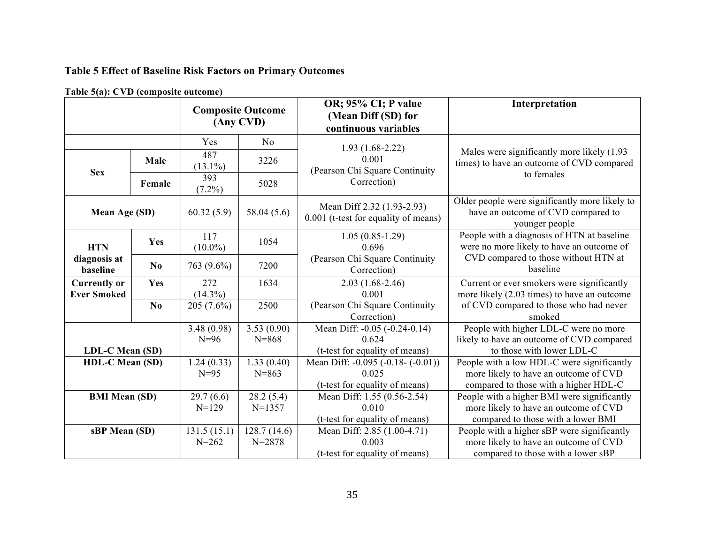# **Table 5 Effect of Baseline Risk Factors on Primary Outcomes**

|                          |                |                   | <b>Composite Outcome</b><br>(Any CVD) | OR; 95% CI; P value<br>(Mean Diff (SD) for<br>continuous variables | Interpretation                                                                                         |  |
|--------------------------|----------------|-------------------|---------------------------------------|--------------------------------------------------------------------|--------------------------------------------------------------------------------------------------------|--|
|                          |                | Yes               | No                                    | $1.93(1.68-2.22)$                                                  |                                                                                                        |  |
| <b>Sex</b>               | Male           | 487<br>$(13.1\%)$ | 3226                                  | 0.001<br>(Pearson Chi Square Continuity                            | Males were significantly more likely (1.93)<br>times) to have an outcome of CVD compared               |  |
|                          | Female         | 393<br>$(7.2\%)$  | 5028                                  | Correction)                                                        | to females                                                                                             |  |
| Mean Age (SD)            |                | 60.32(5.9)        | 58.04 (5.6)                           | Mean Diff 2.32 (1.93-2.93)<br>0.001 (t-test for equality of means) | Older people were significantly more likely to<br>have an outcome of CVD compared to<br>younger people |  |
| <b>HTN</b>               | Yes            | 117<br>$(10.0\%)$ | 1054                                  | $1.05(0.85-1.29)$<br>0.696                                         | People with a diagnosis of HTN at baseline<br>were no more likely to have an outcome of                |  |
| diagnosis at<br>baseline | N <sub>0</sub> | 763 (9.6%)        | 7200                                  | (Pearson Chi Square Continuity<br>Correction)                      | CVD compared to those without HTN at<br>baseline                                                       |  |
| <b>Currently or</b>      | Yes            | 272               | 1634                                  | $2.03(1.68-2.46)$                                                  | Current or ever smokers were significantly                                                             |  |
| <b>Ever Smoked</b>       |                | $(14.3\%)$        |                                       | 0.001                                                              | more likely (2.03 times) to have an outcome                                                            |  |
|                          | No.            | $205(7.6\%)$      | 2500                                  | (Pearson Chi Square Continuity<br>Correction)                      | of CVD compared to those who had never<br>smoked                                                       |  |
|                          |                | 3.48(0.98)        | 3.53(0.90)                            | Mean Diff: -0.05 (-0.24-0.14)                                      | People with higher LDL-C were no more                                                                  |  |
|                          |                | $N=96$            | $N = 868$                             | 0.624                                                              | likely to have an outcome of CVD compared                                                              |  |
| LDL-C Mean (SD)          |                |                   |                                       | (t-test for equality of means)                                     | to those with lower LDL-C                                                                              |  |
| <b>HDL-C Mean (SD)</b>   |                | 1.24(0.33)        | 1.33(0.40)                            | Mean Diff: -0.095 (-0.18- (-0.01))                                 | People with a low HDL-C were significantly                                                             |  |
|                          |                | $N=95$            | $N = 863$                             | 0.025                                                              | more likely to have an outcome of CVD                                                                  |  |
|                          |                |                   |                                       | (t-test for equality of means)                                     | compared to those with a higher HDL-C                                                                  |  |
| <b>BMI Mean (SD)</b>     |                | 29.7(6.6)         | 28.2(5.4)                             | Mean Diff: 1.55 (0.56-2.54)                                        | People with a higher BMI were significantly                                                            |  |
|                          |                | $N = 129$         | $N=1357$                              | 0.010                                                              | more likely to have an outcome of CVD                                                                  |  |
|                          |                |                   |                                       | (t-test for equality of means)                                     | compared to those with a lower BMI                                                                     |  |
| sBP Mean (SD)            |                | 131.5(15.1)       | 128.7(14.6)                           | Mean Diff: 2.85 (1.00-4.71)                                        | People with a higher sBP were significantly                                                            |  |
|                          |                | $N = 262$         | $N = 2878$                            | 0.003                                                              | more likely to have an outcome of CVD                                                                  |  |
|                          |                |                   |                                       | (t-test for equality of means)                                     | compared to those with a lower sBP                                                                     |  |

**Table 5(a): CVD (composite outcome)**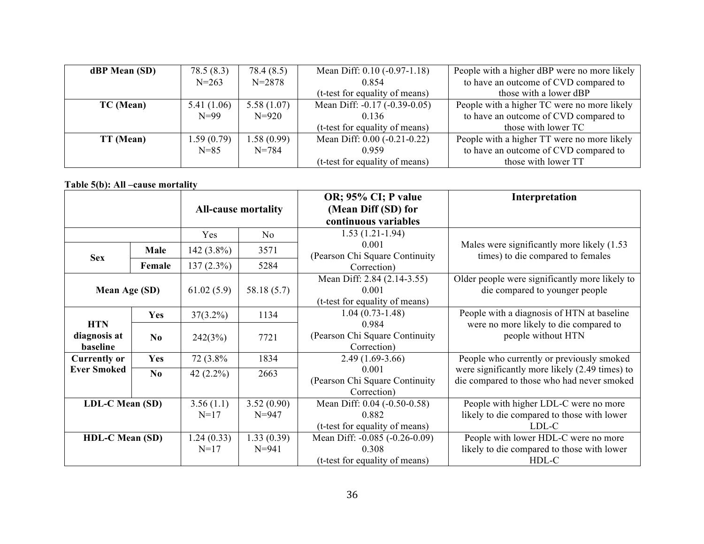| dBP Mean (SD) | 78.5(8.3)  | 78.4 (8.5) | Mean Diff: $0.10$ ( $-0.97 - 1.18$ )  | People with a higher dBP were no more likely |
|---------------|------------|------------|---------------------------------------|----------------------------------------------|
|               | $N = 263$  | $N = 2878$ | 0.854                                 | to have an outcome of CVD compared to        |
|               |            |            | (t-test for equality of means)        | those with a lower dBP                       |
| TC (Mean)     | 5.41(1.06) | 5.58(1.07) | Mean Diff: -0.17 (-0.39-0.05)         | People with a higher TC were no more likely  |
|               | $N=99$     | $N = 920$  | 0.136                                 | to have an outcome of CVD compared to        |
|               |            |            | (t-test for equality of means)        | those with lower TC                          |
| TT (Mean)     | 1.59(0.79) | 1.58(0.99) | Mean Diff: $0.00$ ( $-0.21$ $-0.22$ ) | People with a higher TT were no more likely  |
|               | $N = 85$   | $N = 784$  | 0.959                                 | to have an outcome of CVD compared to        |
|               |            |            | (t-test for equality of means)        | those with lower TT                          |

### **Table 5(b): All –cause mortality**

|                                        |                |                      |                            | OR; 95% CI; P value                                                       | Interpretation                                                                               |
|----------------------------------------|----------------|----------------------|----------------------------|---------------------------------------------------------------------------|----------------------------------------------------------------------------------------------|
|                                        |                |                      | <b>All-cause mortality</b> | (Mean Diff (SD) for                                                       |                                                                                              |
|                                        |                |                      |                            | continuous variables                                                      |                                                                                              |
|                                        |                | Yes                  | No                         | $1.53(1.21-1.94)$                                                         |                                                                                              |
| <b>Sex</b>                             | Male           | 142 $(3.8\%)$        | 3571                       | 0.001<br>(Pearson Chi Square Continuity                                   | Males were significantly more likely (1.53)<br>times) to die compared to females             |
|                                        | Female         | $137(2.3\%)$         | 5284                       | Correction)                                                               |                                                                                              |
| Mean Age (SD)                          |                | 61.02(5.9)           | 58.18(5.7)                 | Mean Diff: 2.84 (2.14-3.55)<br>0.001<br>(t-test for equality of means)    | Older people were significantly more likely to<br>die compared to younger people             |
|                                        | <b>Yes</b>     | $37(3.2\%)$          | 1134                       | $1.04(0.73-1.48)$                                                         | People with a diagnosis of HTN at baseline                                                   |
| <b>HTN</b><br>diagnosis at<br>baseline | N <sub>0</sub> | 242(3%)              | 7721                       | 0.984<br>(Pearson Chi Square Continuity)<br>Correction)                   | were no more likely to die compared to<br>people without HTN                                 |
| <b>Currently or</b>                    | <b>Yes</b>     | 72 (3.8%)            | 1834                       | $2.49(1.69-3.66)$                                                         | People who currently or previously smoked                                                    |
| <b>Ever Smoked</b>                     | No             | 42 $(2.2\%)$         | 2663                       | 0.001<br>(Pearson Chi Square Continuity)<br>Correction)                   | were significantly more likely (2.49 times) to<br>die compared to those who had never smoked |
| LDL-C Mean (SD)                        |                | 3.56(1.1)<br>$N=17$  | 3.52(0.90)<br>$N = 947$    | Mean Diff: 0.04 (-0.50-0.58)<br>0.882<br>(t-test for equality of means)   | People with higher LDL-C were no more<br>likely to die compared to those with lower<br>LDL-C |
| <b>HDL-C Mean (SD)</b>                 |                | 1.24(0.33)<br>$N=17$ | 1.33(0.39)<br>$N = 941$    | Mean Diff: -0.085 (-0.26-0.09)<br>0.308<br>(t-test for equality of means) | People with lower HDL-C were no more<br>likely to die compared to those with lower<br>HDL-C  |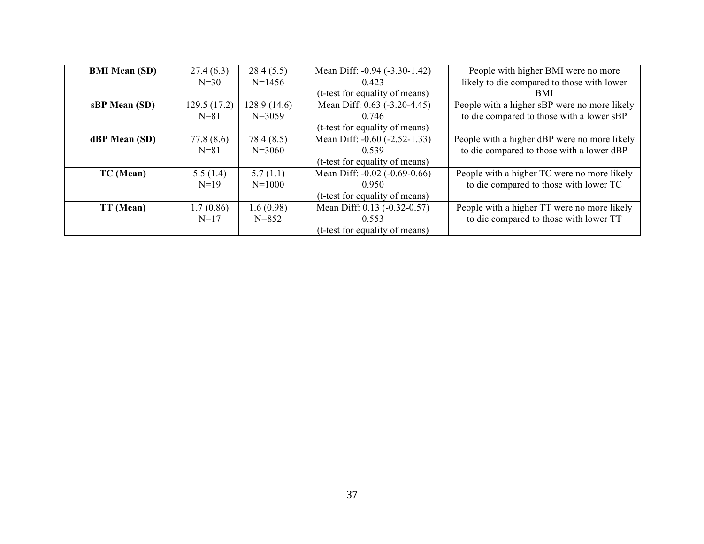| <b>BMI Mean (SD)</b> | 27.4(6.3)    | 28.4(5.5)   | Mean Diff: -0.94 (-3.30-1.42)       | People with higher BMI were no more          |
|----------------------|--------------|-------------|-------------------------------------|----------------------------------------------|
|                      | $N = 30$     | $N=1456$    | 0.423                               | likely to die compared to those with lower   |
|                      |              |             | (t-test for equality of means)      | <b>BMI</b>                                   |
| sBP Mean (SD)        | 129.5 (17.2) | 128.9(14.6) | Mean Diff: 0.63 (-3.20-4.45)        | People with a higher sBP were no more likely |
|                      | $N = 81$     | $N = 3059$  | 0.746                               | to die compared to those with a lower sBP    |
|                      |              |             | (t-test for equality of means)      |                                              |
| dBP Mean (SD)        | 77.8(8.6)    | 78.4 (8.5)  | Mean Diff: -0.60 (-2.52-1.33)       | People with a higher dBP were no more likely |
|                      | $N = 81$     | $N = 3060$  | 0.539                               | to die compared to those with a lower dBP    |
|                      |              |             | (t-test for equality of means)      |                                              |
| TC (Mean)            | 5.5(1.4)     | 5.7(1.1)    | Mean Diff: $-0.02$ $(-0.69 - 0.66)$ | People with a higher TC were no more likely  |
|                      | $N=19$       | $N = 1000$  | 0.950                               | to die compared to those with lower TC       |
|                      |              |             | (t-test for equality of means)      |                                              |
| TT (Mean)            | 1.7(0.86)    | 1.6(0.98)   | Mean Diff: 0.13 (-0.32-0.57)        | People with a higher TT were no more likely  |
|                      | $N=17$       | $N = 852$   | 0.553                               | to die compared to those with lower TT       |
|                      |              |             | (t-test for equality of means)      |                                              |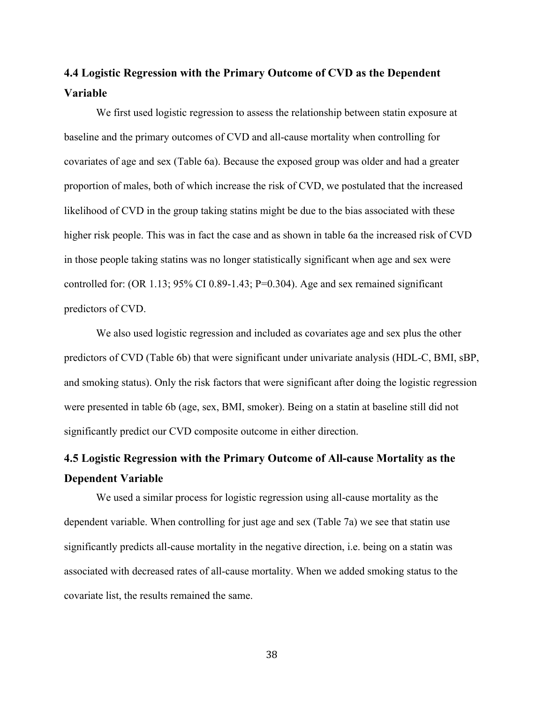# **4.4 Logistic Regression with the Primary Outcome of CVD as the Dependent Variable**

We first used logistic regression to assess the relationship between statin exposure at baseline and the primary outcomes of CVD and all-cause mortality when controlling for covariates of age and sex (Table 6a). Because the exposed group was older and had a greater proportion of males, both of which increase the risk of CVD, we postulated that the increased likelihood of CVD in the group taking statins might be due to the bias associated with these higher risk people. This was in fact the case and as shown in table 6a the increased risk of CVD in those people taking statins was no longer statistically significant when age and sex were controlled for: (OR 1.13; 95% CI 0.89-1.43; P=0.304). Age and sex remained significant predictors of CVD.

We also used logistic regression and included as covariates age and sex plus the other predictors of CVD (Table 6b) that were significant under univariate analysis (HDL-C, BMI, sBP, and smoking status). Only the risk factors that were significant after doing the logistic regression were presented in table 6b (age, sex, BMI, smoker). Being on a statin at baseline still did not significantly predict our CVD composite outcome in either direction.

# **4.5 Logistic Regression with the Primary Outcome of All-cause Mortality as the Dependent Variable**

We used a similar process for logistic regression using all-cause mortality as the dependent variable. When controlling for just age and sex (Table 7a) we see that statin use significantly predicts all-cause mortality in the negative direction, i.e. being on a statin was associated with decreased rates of all-cause mortality. When we added smoking status to the covariate list, the results remained the same.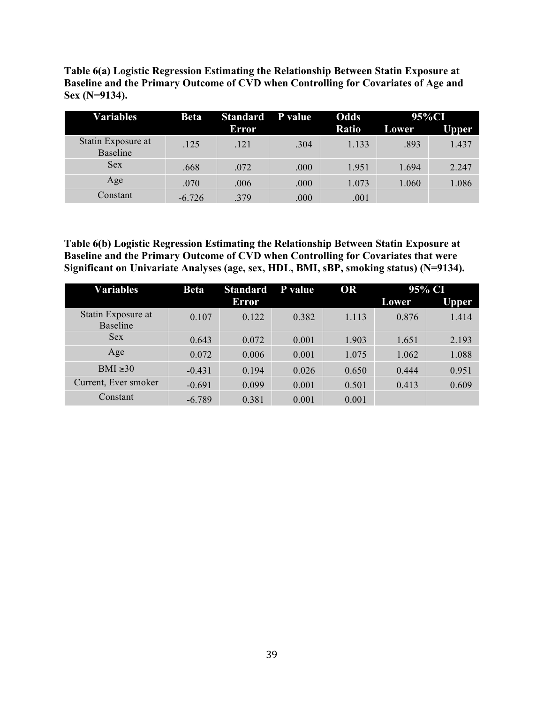**Table 6(a) Logistic Regression Estimating the Relationship Between Statin Exposure at Baseline and the Primary Outcome of CVD when Controlling for Covariates of Age and Sex (N=9134).**

| Variables                      | <b>Beta</b> | <b>Standard</b> | P value | Odds  |              | 95%CI        |
|--------------------------------|-------------|-----------------|---------|-------|--------------|--------------|
|                                |             | Error           |         | Ratio | <b>Lower</b> | <b>Upper</b> |
| Statin Exposure at<br>Baseline | .125        | .121            | .304    | 1.133 | .893         | 1.437        |
| <b>Sex</b>                     | .668        | .072            | .000    | 1.951 | 1.694        | 2.247        |
| Age                            | .070        | .006            | .000    | 1.073 | 1.060        | 1.086        |
| Constant                       | $-6.726$    | .379            | .000    | .001  |              |              |

**Table 6(b) Logistic Regression Estimating the Relationship Between Statin Exposure at Baseline and the Primary Outcome of CVD when Controlling for Covariates that were Significant on Univariate Analyses (age, sex, HDL, BMI, sBP, smoking status) (N=9134).**

| <b>Variables</b>                      | <b>Beta</b> | <b>Standard</b> | P value | <b>OR</b> |       | 95% CI |
|---------------------------------------|-------------|-----------------|---------|-----------|-------|--------|
|                                       |             | Error           |         |           | Lower | Upper. |
| Statin Exposure at<br><b>Baseline</b> | 0.107       | 0.122           | 0.382   | 1.113     | 0.876 | 1.414  |
| <b>Sex</b>                            | 0.643       | 0.072           | 0.001   | 1.903     | 1.651 | 2.193  |
| Age                                   | 0.072       | 0.006           | 0.001   | 1.075     | 1.062 | 1.088  |
| $BMI \ge 30$                          | $-0.431$    | 0.194           | 0.026   | 0.650     | 0.444 | 0.951  |
| Current, Ever smoker                  | $-0.691$    | 0.099           | 0.001   | 0.501     | 0.413 | 0.609  |
| Constant                              | $-6.789$    | 0.381           | 0.001   | 0.001     |       |        |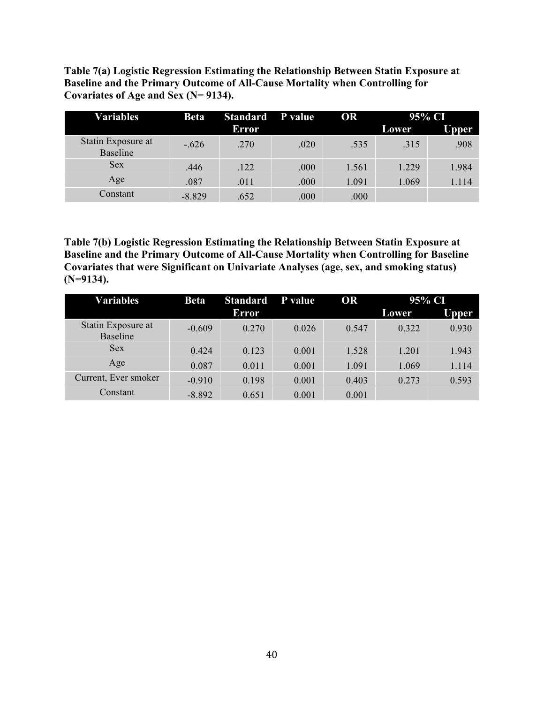**Table 7(a) Logistic Regression Estimating the Relationship Between Statin Exposure at Baseline and the Primary Outcome of All-Cause Mortality when Controlling for Covariates of Age and Sex (N= 9134).**

| Variables                      | <b>Beta</b> | <b>Standard</b> | <b>P</b> value | OR    | 95% CI |              |
|--------------------------------|-------------|-----------------|----------------|-------|--------|--------------|
|                                |             | Error           |                |       | Lower  | <b>Upper</b> |
| Statin Exposure at<br>Baseline | $-.626$     | .270            | .020           | .535  | .315   | .908         |
| <b>Sex</b>                     | .446        | .122            | .000           | 1.561 | 1.229  | 1.984        |
| Age                            | .087        | .011            | .000           | 1.091 | 1.069  | 1.114        |
| Constant                       | $-8.829$    | .652            | .000           | .000  |        |              |

**Table 7(b) Logistic Regression Estimating the Relationship Between Statin Exposure at Baseline and the Primary Outcome of All-Cause Mortality when Controlling for Baseline Covariates that were Significant on Univariate Analyses (age, sex, and smoking status) (N=9134).**

| <b>Variables</b>               | <b>Beta</b> | <b>Standard</b> | P value | OR    | 95% CI |       |
|--------------------------------|-------------|-----------------|---------|-------|--------|-------|
|                                |             | <b>Error</b>    |         |       | Lower  | Upper |
| Statin Exposure at<br>Baseline | $-0.609$    | 0.270           | 0.026   | 0.547 | 0.322  | 0.930 |
| <b>Sex</b>                     | 0.424       | 0.123           | 0.001   | 1.528 | 1.201  | 1.943 |
| Age                            | 0.087       | 0.011           | 0.001   | 1.091 | 1.069  | 1.114 |
| Current, Ever smoker           | $-0.910$    | 0.198           | 0.001   | 0.403 | 0.273  | 0.593 |
| Constant                       | $-8.892$    | 0.651           | 0.001   | 0.001 |        |       |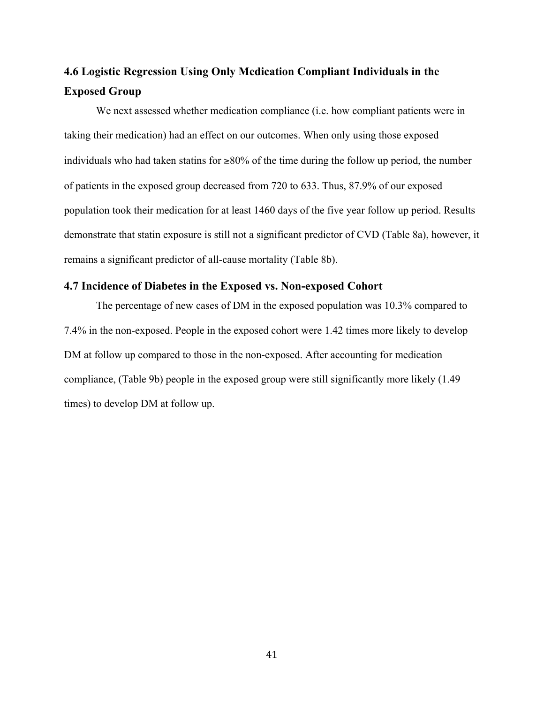# **4.6 Logistic Regression Using Only Medication Compliant Individuals in the Exposed Group**

We next assessed whether medication compliance (i.e. how compliant patients were in taking their medication) had an effect on our outcomes. When only using those exposed individuals who had taken statins for  $\geq 80\%$  of the time during the follow up period, the number of patients in the exposed group decreased from 720 to 633. Thus, 87.9% of our exposed population took their medication for at least 1460 days of the five year follow up period. Results demonstrate that statin exposure is still not a significant predictor of CVD (Table 8a), however, it remains a significant predictor of all-cause mortality (Table 8b).

#### **4.7 Incidence of Diabetes in the Exposed vs. Non-exposed Cohort**

The percentage of new cases of DM in the exposed population was 10.3% compared to 7.4% in the non-exposed. People in the exposed cohort were 1.42 times more likely to develop DM at follow up compared to those in the non-exposed. After accounting for medication compliance, (Table 9b) people in the exposed group were still significantly more likely (1.49 times) to develop DM at follow up.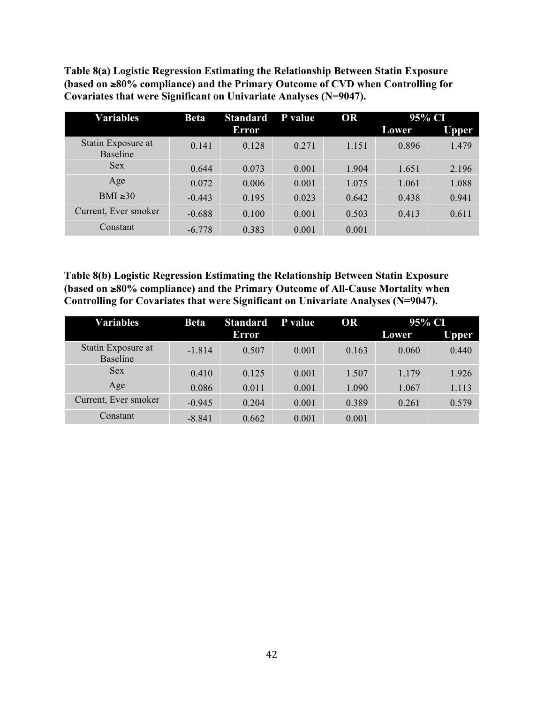**Table 8(a) Logistic Regression Estimating the Relationship Between Statin Exposure (based on** ≥**80% compliance) and the Primary Outcome of CVD when Controlling for Covariates that were Significant on Univariate Analyses (N=9047).** 

| <b>Variables</b>                      | <b>Beta</b> | <b>Standard</b> | P value | <b>OR</b> | 95% CI       |              |
|---------------------------------------|-------------|-----------------|---------|-----------|--------------|--------------|
|                                       |             | <b>Error</b>    |         |           | <b>Lower</b> | <b>Upper</b> |
| Statin Exposure at<br><b>Baseline</b> | 0.141       | 0.128           | 0.271   | 1.151     | 0.896        | 1.479        |
| <b>Sex</b>                            | 0.644       | 0.073           | 0.001   | 1.904     | 1.651        | 2.196        |
| Age                                   | 0.072       | 0.006           | 0.001   | 1.075     | 1.061        | 1.088        |
| BMI $\geq 30$                         | $-0.443$    | 0.195           | 0.023   | 0.642     | 0.438        | 0.941        |
| Current, Ever smoker                  | $-0.688$    | 0.100           | 0.001   | 0.503     | 0.413        | 0.611        |
| Constant                              | $-6.778$    | 0.383           | 0.001   | 0.001     |              |              |

**Table 8(b) Logistic Regression Estimating the Relationship Between Statin Exposure (based on** ≥**80% compliance) and the Primary Outcome of All-Cause Mortality when Controlling for Covariates that were Significant on Univariate Analyses (N=9047).** 

| <b>Variables</b>                      | <b>Beta</b> | <b>Standard</b> | P value | <b>OR</b> | 95% CI |       |  |
|---------------------------------------|-------------|-----------------|---------|-----------|--------|-------|--|
|                                       |             | Error           |         |           | Lower  | Upper |  |
| Statin Exposure at<br><b>Baseline</b> | $-1.814$    | 0.507           | 0.001   | 0.163     | 0.060  | 0.440 |  |
| <b>Sex</b>                            | 0.410       | 0.125           | 0.001   | 1.507     | 1.179  | 1.926 |  |
| Age                                   | 0.086       | 0.011           | 0.001   | 1.090     | 1.067  | 1.113 |  |
| Current, Ever smoker                  | $-0.945$    | 0.204           | 0.001   | 0.389     | 0.261  | 0.579 |  |
| Constant                              | $-8.841$    | 0.662           | 0.001   | 0.001     |        |       |  |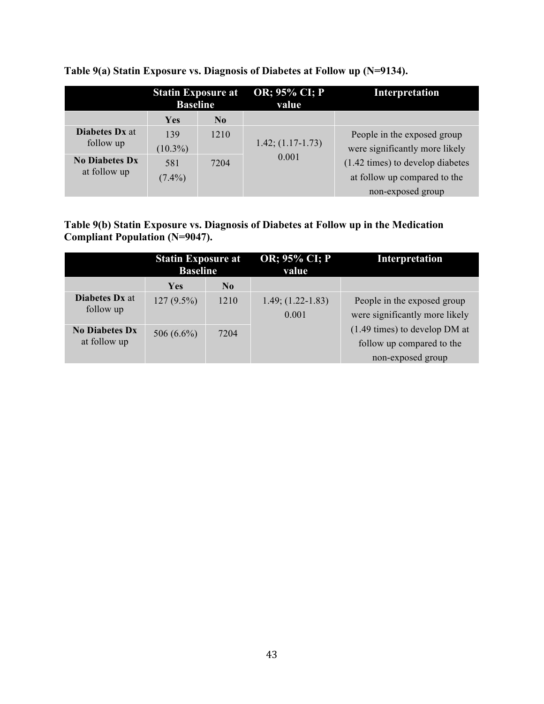|                                       | <b>Statin Exposure at</b><br><b>Baseline</b> |                | OR; 95% CI; P<br>value | Interpretation                                                                           |
|---------------------------------------|----------------------------------------------|----------------|------------------------|------------------------------------------------------------------------------------------|
|                                       | <b>Yes</b>                                   | N <sub>0</sub> |                        |                                                                                          |
| <b>Diabetes Dx at</b><br>follow up    | 139<br>$(10.3\%)$                            | 1210           | $1.42; (1.17-1.73)$    | People in the exposed group<br>were significantly more likely                            |
| <b>No Diabetes Dx</b><br>at follow up | 581<br>$(7.4\%)$                             | 7204           | 0.001                  | $(1.42 \times)$ to develop diabetes<br>at follow up compared to the<br>non-exposed group |

**Table 9(a) Statin Exposure vs. Diagnosis of Diabetes at Follow up (N=9134).**

**Table 9(b) Statin Exposure vs. Diagnosis of Diabetes at Follow up in the Medication Compliant Population (N=9047).**

|                                       | <b>Statin Exposure at</b><br><b>Baseline</b> |                | OR; 95% CI; P<br>value         | Interpretation                                                                            |
|---------------------------------------|----------------------------------------------|----------------|--------------------------------|-------------------------------------------------------------------------------------------|
|                                       | <b>Yes</b>                                   | N <sub>0</sub> |                                |                                                                                           |
| <b>Diabetes Dx at</b><br>follow up    | $127(9.5\%)$                                 | 1210           | $1.49; (1.22 - 1.83)$<br>0.001 | People in the exposed group<br>were significantly more likely                             |
| <b>No Diabetes Dx</b><br>at follow up | 506 $(6.6\%)$                                | 7204           |                                | $(1.49 \text{ times})$ to develop DM at<br>follow up compared to the<br>non-exposed group |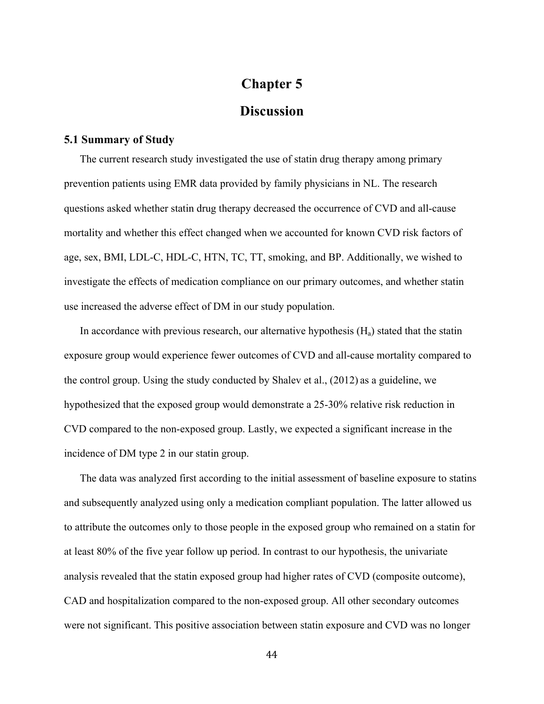# **Chapter 5 Discussion**

### **5.1 Summary of Study**

The current research study investigated the use of statin drug therapy among primary prevention patients using EMR data provided by family physicians in NL. The research questions asked whether statin drug therapy decreased the occurrence of CVD and all-cause mortality and whether this effect changed when we accounted for known CVD risk factors of age, sex, BMI, LDL-C, HDL-C, HTN, TC, TT, smoking, and BP. Additionally, we wished to investigate the effects of medication compliance on our primary outcomes, and whether statin use increased the adverse effect of DM in our study population.

In accordance with previous research, our alternative hypothesis  $(H_a)$  stated that the statin exposure group would experience fewer outcomes of CVD and all-cause mortality compared to the control group. Using the study conducted by Shalev et al., (2012) as a guideline, we hypothesized that the exposed group would demonstrate a 25-30% relative risk reduction in CVD compared to the non-exposed group. Lastly, we expected a significant increase in the incidence of DM type 2 in our statin group.

The data was analyzed first according to the initial assessment of baseline exposure to statins and subsequently analyzed using only a medication compliant population. The latter allowed us to attribute the outcomes only to those people in the exposed group who remained on a statin for at least 80% of the five year follow up period. In contrast to our hypothesis, the univariate analysis revealed that the statin exposed group had higher rates of CVD (composite outcome), CAD and hospitalization compared to the non-exposed group. All other secondary outcomes were not significant. This positive association between statin exposure and CVD was no longer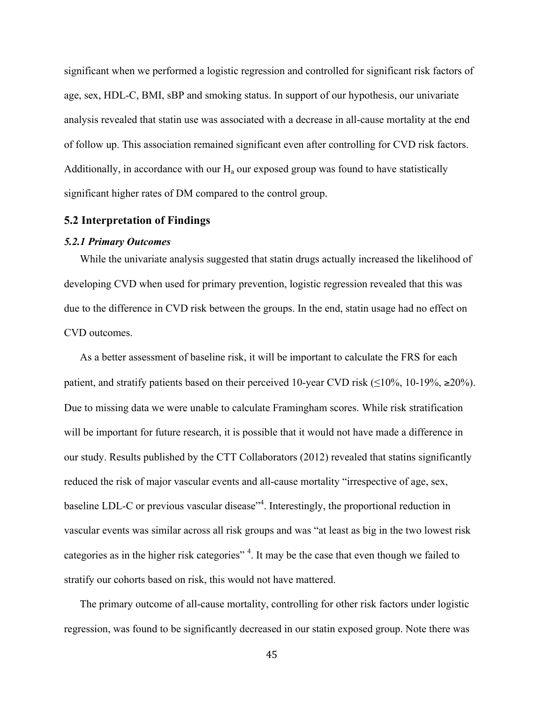significant when we performed a logistic regression and controlled for significant risk factors of age, sex, HDL-C, BMI, sBP and smoking status. In support of our hypothesis, our univariate analysis revealed that statin use was associated with a decrease in all-cause mortality at the end of follow up. This association remained significant even after controlling for CVD risk factors. Additionally, in accordance with our  $H_a$  our exposed group was found to have statistically significant higher rates of DM compared to the control group.

#### **5.2 Interpretation of Findings**

#### *5.2.1 Primary Outcomes*

While the univariate analysis suggested that statin drugs actually increased the likelihood of developing CVD when used for primary prevention, logistic regression revealed that this was due to the difference in CVD risk between the groups. In the end, statin usage had no effect on CVD outcomes.

As a better assessment of baseline risk, it will be important to calculate the FRS for each patient, and stratify patients based on their perceived 10-year CVD risk ( $\leq$ 10%, 10-19%,  $\geq$ 20%). Due to missing data we were unable to calculate Framingham scores. While risk stratification will be important for future research, it is possible that it would not have made a difference in our study. Results published by the CTT Collaborators (2012) revealed that statins significantly reduced the risk of major vascular events and all-cause mortality "irrespective of age, sex, baseline LDL-C or previous vascular disease<sup>"4</sup>. Interestingly, the proportional reduction in vascular events was similar across all risk groups and was "at least as big in the two lowest risk categories as in the higher risk categories"<sup>4</sup>. It may be the case that even though we failed to stratify our cohorts based on risk, this would not have mattered.

The primary outcome of all-cause mortality, controlling for other risk factors under logistic regression, was found to be significantly decreased in our statin exposed group. Note there was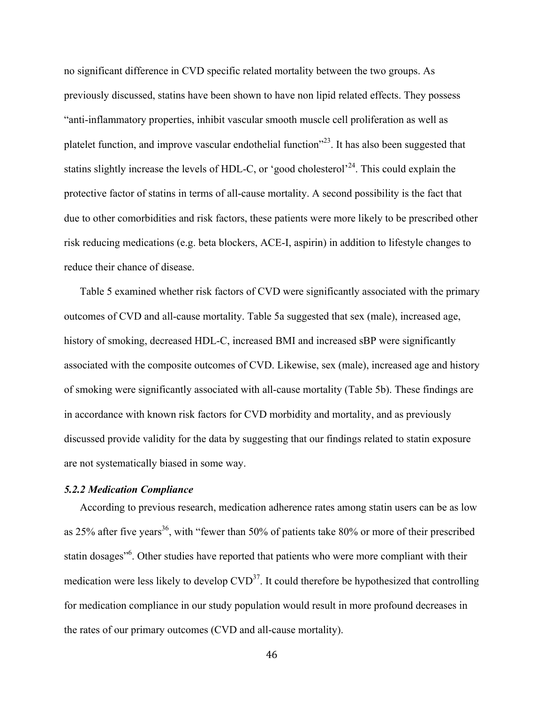no significant difference in CVD specific related mortality between the two groups. As previously discussed, statins have been shown to have non lipid related effects. They possess "anti-inflammatory properties, inhibit vascular smooth muscle cell proliferation as well as platelet function, and improve vascular endothelial function<sup> $23$ </sup>. It has also been suggested that statins slightly increase the levels of HDL-C, or 'good cholesterol'<sup>24</sup>. This could explain the protective factor of statins in terms of all-cause mortality. A second possibility is the fact that due to other comorbidities and risk factors, these patients were more likely to be prescribed other risk reducing medications (e.g. beta blockers, ACE-I, aspirin) in addition to lifestyle changes to reduce their chance of disease.

Table 5 examined whether risk factors of CVD were significantly associated with the primary outcomes of CVD and all-cause mortality. Table 5a suggested that sex (male), increased age, history of smoking, decreased HDL-C, increased BMI and increased sBP were significantly associated with the composite outcomes of CVD. Likewise, sex (male), increased age and history of smoking were significantly associated with all-cause mortality (Table 5b). These findings are in accordance with known risk factors for CVD morbidity and mortality, and as previously discussed provide validity for the data by suggesting that our findings related to statin exposure are not systematically biased in some way.

#### *5.2.2 Medication Compliance*

According to previous research, medication adherence rates among statin users can be as low as 25% after five years<sup>36</sup>, with "fewer than 50% of patients take 80% or more of their prescribed statin dosages<sup>"6</sup>. Other studies have reported that patients who were more compliant with their medication were less likely to develop  $CVD<sup>37</sup>$ . It could therefore be hypothesized that controlling for medication compliance in our study population would result in more profound decreases in the rates of our primary outcomes (CVD and all-cause mortality).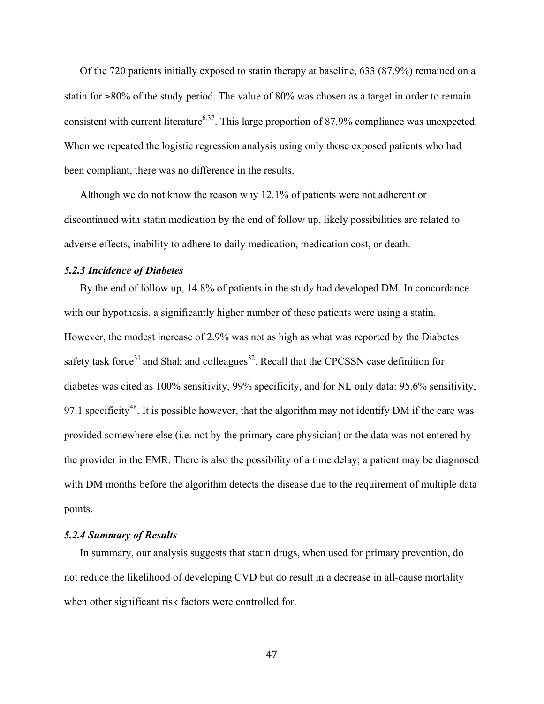Of the 720 patients initially exposed to statin therapy at baseline, 633 (87.9%) remained on a statin for ≥80% of the study period. The value of 80% was chosen as a target in order to remain consistent with current literature<sup>6,37</sup>. This large proportion of 87.9% compliance was unexpected. When we repeated the logistic regression analysis using only those exposed patients who had been compliant, there was no difference in the results.

Although we do not know the reason why 12.1% of patients were not adherent or discontinued with statin medication by the end of follow up, likely possibilities are related to adverse effects, inability to adhere to daily medication, medication cost, or death.

#### *5.2.3 Incidence of Diabetes*

By the end of follow up, 14.8% of patients in the study had developed DM. In concordance with our hypothesis, a significantly higher number of these patients were using a statin. However, the modest increase of 2.9% was not as high as what was reported by the Diabetes safety task force<sup>31</sup> and Shah and colleagues<sup>32</sup>. Recall that the CPCSSN case definition for diabetes was cited as 100% sensitivity, 99% specificity, and for NL only data: 95.6% sensitivity, 97.1 specificity<sup>48</sup>. It is possible however, that the algorithm may not identify DM if the care was provided somewhere else (i.e. not by the primary care physician) or the data was not entered by the provider in the EMR. There is also the possibility of a time delay; a patient may be diagnosed with DM months before the algorithm detects the disease due to the requirement of multiple data points.

#### *5.2.4 Summary of Results*

In summary, our analysis suggests that statin drugs, when used for primary prevention, do not reduce the likelihood of developing CVD but do result in a decrease in all-cause mortality when other significant risk factors were controlled for.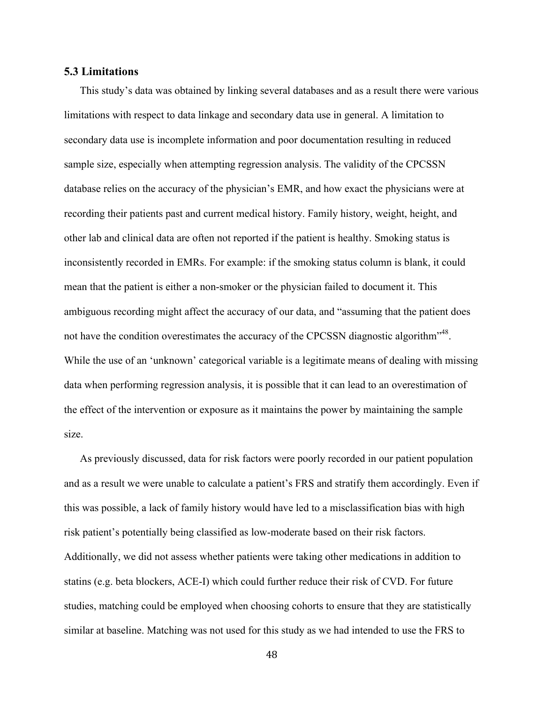#### **5.3 Limitations**

This study's data was obtained by linking several databases and as a result there were various limitations with respect to data linkage and secondary data use in general. A limitation to secondary data use is incomplete information and poor documentation resulting in reduced sample size, especially when attempting regression analysis. The validity of the CPCSSN database relies on the accuracy of the physician's EMR, and how exact the physicians were at recording their patients past and current medical history. Family history, weight, height, and other lab and clinical data are often not reported if the patient is healthy. Smoking status is inconsistently recorded in EMRs. For example: if the smoking status column is blank, it could mean that the patient is either a non-smoker or the physician failed to document it. This ambiguous recording might affect the accuracy of our data, and "assuming that the patient does not have the condition overestimates the accuracy of the CPCSSN diagnostic algorithm<sup>148</sup>. While the use of an 'unknown' categorical variable is a legitimate means of dealing with missing data when performing regression analysis, it is possible that it can lead to an overestimation of the effect of the intervention or exposure as it maintains the power by maintaining the sample size.

As previously discussed, data for risk factors were poorly recorded in our patient population and as a result we were unable to calculate a patient's FRS and stratify them accordingly. Even if this was possible, a lack of family history would have led to a misclassification bias with high risk patient's potentially being classified as low-moderate based on their risk factors. Additionally, we did not assess whether patients were taking other medications in addition to statins (e.g. beta blockers, ACE-I) which could further reduce their risk of CVD. For future studies, matching could be employed when choosing cohorts to ensure that they are statistically similar at baseline. Matching was not used for this study as we had intended to use the FRS to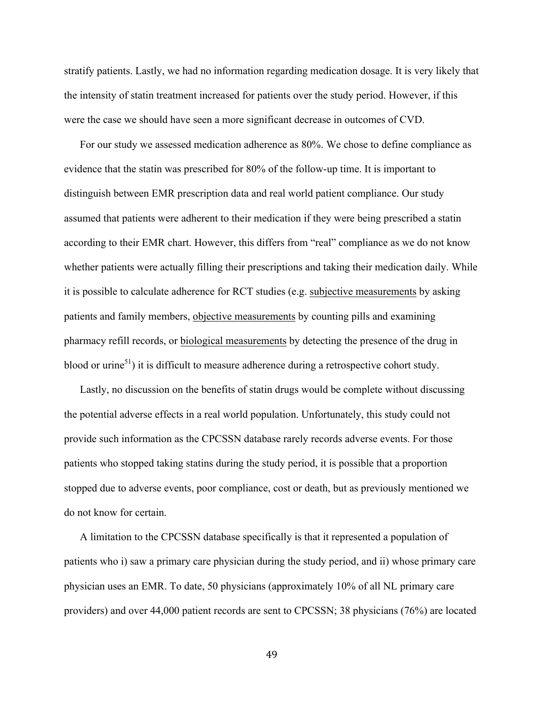stratify patients. Lastly, we had no information regarding medication dosage. It is very likely that the intensity of statin treatment increased for patients over the study period. However, if this were the case we should have seen a more significant decrease in outcomes of CVD.

For our study we assessed medication adherence as 80%. We chose to define compliance as evidence that the statin was prescribed for 80% of the follow-up time. It is important to distinguish between EMR prescription data and real world patient compliance. Our study assumed that patients were adherent to their medication if they were being prescribed a statin according to their EMR chart. However, this differs from "real" compliance as we do not know whether patients were actually filling their prescriptions and taking their medication daily. While it is possible to calculate adherence for RCT studies (e.g. subjective measurements by asking patients and family members, objective measurements by counting pills and examining pharmacy refill records, or biological measurements by detecting the presence of the drug in blood or urine<sup>51</sup>) it is difficult to measure adherence during a retrospective cohort study.

Lastly, no discussion on the benefits of statin drugs would be complete without discussing the potential adverse effects in a real world population. Unfortunately, this study could not provide such information as the CPCSSN database rarely records adverse events. For those patients who stopped taking statins during the study period, it is possible that a proportion stopped due to adverse events, poor compliance, cost or death, but as previously mentioned we do not know for certain.

A limitation to the CPCSSN database specifically is that it represented a population of patients who i) saw a primary care physician during the study period, and ii) whose primary care physician uses an EMR. To date, 50 physicians (approximately 10% of all NL primary care providers) and over 44,000 patient records are sent to CPCSSN; 38 physicians (76%) are located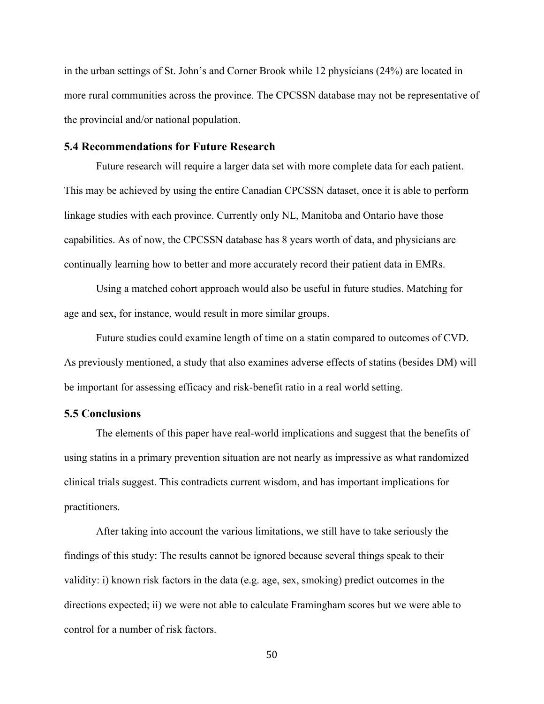in the urban settings of St. John's and Corner Brook while 12 physicians (24%) are located in more rural communities across the province. The CPCSSN database may not be representative of the provincial and/or national population.

#### **5.4 Recommendations for Future Research**

Future research will require a larger data set with more complete data for each patient. This may be achieved by using the entire Canadian CPCSSN dataset, once it is able to perform linkage studies with each province. Currently only NL, Manitoba and Ontario have those capabilities. As of now, the CPCSSN database has 8 years worth of data, and physicians are continually learning how to better and more accurately record their patient data in EMRs.

Using a matched cohort approach would also be useful in future studies. Matching for age and sex, for instance, would result in more similar groups.

Future studies could examine length of time on a statin compared to outcomes of CVD. As previously mentioned, a study that also examines adverse effects of statins (besides DM) will be important for assessing efficacy and risk-benefit ratio in a real world setting.

#### **5.5 Conclusions**

The elements of this paper have real-world implications and suggest that the benefits of using statins in a primary prevention situation are not nearly as impressive as what randomized clinical trials suggest. This contradicts current wisdom, and has important implications for practitioners.

After taking into account the various limitations, we still have to take seriously the findings of this study: The results cannot be ignored because several things speak to their validity: i) known risk factors in the data (e.g. age, sex, smoking) predict outcomes in the directions expected; ii) we were not able to calculate Framingham scores but we were able to control for a number of risk factors.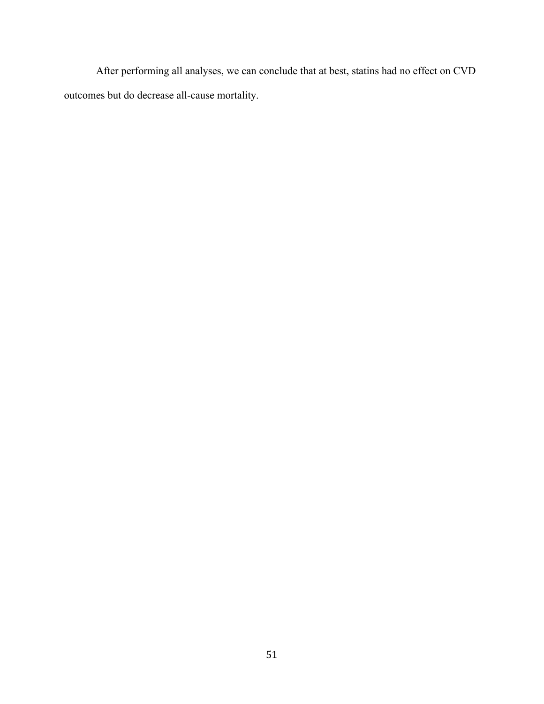After performing all analyses, we can conclude that at best, statins had no effect on CVD outcomes but do decrease all-cause mortality.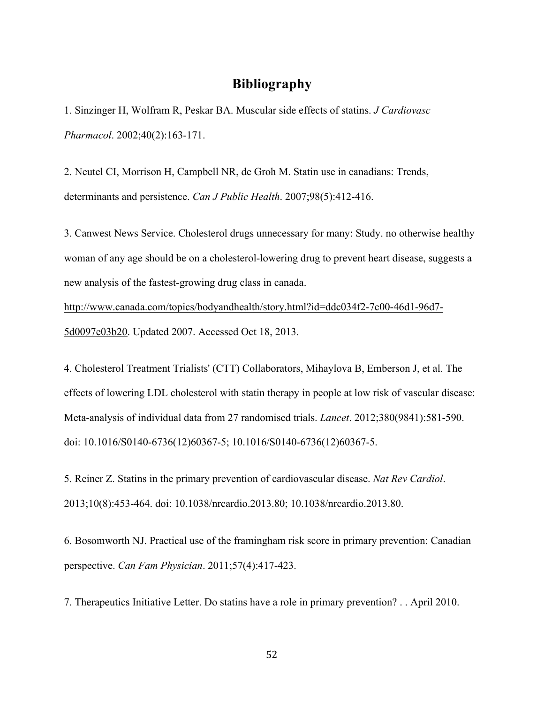## **Bibliography**

1. Sinzinger H, Wolfram R, Peskar BA. Muscular side effects of statins. *J Cardiovasc Pharmacol*. 2002;40(2):163-171.

2. Neutel CI, Morrison H, Campbell NR, de Groh M. Statin use in canadians: Trends, determinants and persistence. *Can J Public Health*. 2007;98(5):412-416.

3. Canwest News Service. Cholesterol drugs unnecessary for many: Study. no otherwise healthy woman of any age should be on a cholesterol-lowering drug to prevent heart disease, suggests a new analysis of the fastest-growing drug class in canada.

http://www.canada.com/topics/bodyandhealth/story.html?id=ddc034f2-7c00-46d1-96d7- 5d0097e03b20. Updated 2007. Accessed Oct 18, 2013.

4. Cholesterol Treatment Trialists' (CTT) Collaborators, Mihaylova B, Emberson J, et al. The effects of lowering LDL cholesterol with statin therapy in people at low risk of vascular disease: Meta-analysis of individual data from 27 randomised trials. *Lancet*. 2012;380(9841):581-590. doi: 10.1016/S0140-6736(12)60367-5; 10.1016/S0140-6736(12)60367-5.

5. Reiner Z. Statins in the primary prevention of cardiovascular disease. *Nat Rev Cardiol*. 2013;10(8):453-464. doi: 10.1038/nrcardio.2013.80; 10.1038/nrcardio.2013.80.

6. Bosomworth NJ. Practical use of the framingham risk score in primary prevention: Canadian perspective. *Can Fam Physician*. 2011;57(4):417-423.

7. Therapeutics Initiative Letter. Do statins have a role in primary prevention? . . April 2010.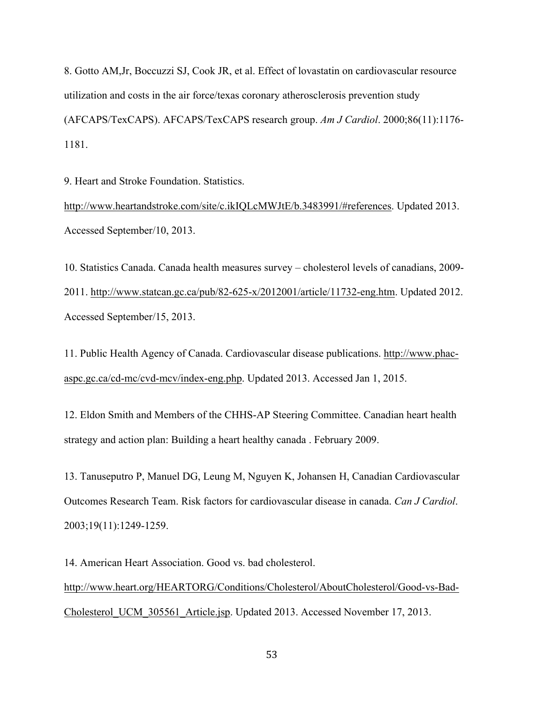8. Gotto AM,Jr, Boccuzzi SJ, Cook JR, et al. Effect of lovastatin on cardiovascular resource utilization and costs in the air force/texas coronary atherosclerosis prevention study (AFCAPS/TexCAPS). AFCAPS/TexCAPS research group. *Am J Cardiol*. 2000;86(11):1176- 1181.

9. Heart and Stroke Foundation. Statistics.

http://www.heartandstroke.com/site/c.ikIQLcMWJtE/b.3483991/#references. Updated 2013. Accessed September/10, 2013.

10. Statistics Canada. Canada health measures survey – cholesterol levels of canadians, 2009- 2011. http://www.statcan.gc.ca/pub/82-625-x/2012001/article/11732-eng.htm. Updated 2012. Accessed September/15, 2013.

11. Public Health Agency of Canada. Cardiovascular disease publications. http://www.phacaspc.gc.ca/cd-mc/cvd-mcv/index-eng.php. Updated 2013. Accessed Jan 1, 2015.

12. Eldon Smith and Members of the CHHS-AP Steering Committee. Canadian heart health strategy and action plan: Building a heart healthy canada . February 2009.

13. Tanuseputro P, Manuel DG, Leung M, Nguyen K, Johansen H, Canadian Cardiovascular Outcomes Research Team. Risk factors for cardiovascular disease in canada. *Can J Cardiol*. 2003;19(11):1249-1259.

14. American Heart Association. Good vs. bad cholesterol. http://www.heart.org/HEARTORG/Conditions/Cholesterol/AboutCholesterol/Good-vs-Bad-Cholesterol\_UCM\_305561\_Article.jsp. Updated 2013. Accessed November 17, 2013.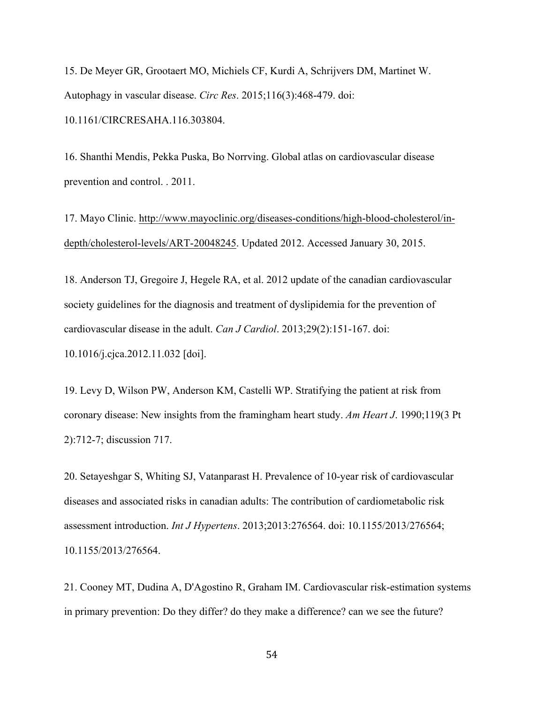15. De Meyer GR, Grootaert MO, Michiels CF, Kurdi A, Schrijvers DM, Martinet W. Autophagy in vascular disease. *Circ Res*. 2015;116(3):468-479. doi: 10.1161/CIRCRESAHA.116.303804.

16. Shanthi Mendis, Pekka Puska, Bo Norrving. Global atlas on cardiovascular disease prevention and control. . 2011.

17. Mayo Clinic. http://www.mayoclinic.org/diseases-conditions/high-blood-cholesterol/indepth/cholesterol-levels/ART-20048245. Updated 2012. Accessed January 30, 2015.

18. Anderson TJ, Gregoire J, Hegele RA, et al. 2012 update of the canadian cardiovascular society guidelines for the diagnosis and treatment of dyslipidemia for the prevention of cardiovascular disease in the adult. *Can J Cardiol*. 2013;29(2):151-167. doi: 10.1016/j.cjca.2012.11.032 [doi].

19. Levy D, Wilson PW, Anderson KM, Castelli WP. Stratifying the patient at risk from coronary disease: New insights from the framingham heart study. *Am Heart J*. 1990;119(3 Pt 2):712-7; discussion 717.

20. Setayeshgar S, Whiting SJ, Vatanparast H. Prevalence of 10-year risk of cardiovascular diseases and associated risks in canadian adults: The contribution of cardiometabolic risk assessment introduction. *Int J Hypertens*. 2013;2013:276564. doi: 10.1155/2013/276564; 10.1155/2013/276564.

21. Cooney MT, Dudina A, D'Agostino R, Graham IM. Cardiovascular risk-estimation systems in primary prevention: Do they differ? do they make a difference? can we see the future?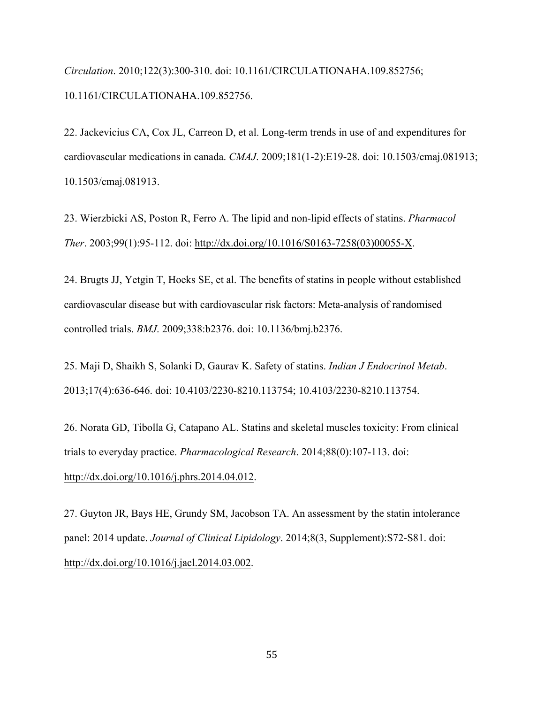*Circulation*. 2010;122(3):300-310. doi: 10.1161/CIRCULATIONAHA.109.852756; 10.1161/CIRCULATIONAHA.109.852756.

22. Jackevicius CA, Cox JL, Carreon D, et al. Long-term trends in use of and expenditures for cardiovascular medications in canada. *CMAJ*. 2009;181(1-2):E19-28. doi: 10.1503/cmaj.081913; 10.1503/cmaj.081913.

23. Wierzbicki AS, Poston R, Ferro A. The lipid and non-lipid effects of statins. *Pharmacol Ther*. 2003;99(1):95-112. doi: http://dx.doi.org/10.1016/S0163-7258(03)00055-X.

24. Brugts JJ, Yetgin T, Hoeks SE, et al. The benefits of statins in people without established cardiovascular disease but with cardiovascular risk factors: Meta-analysis of randomised controlled trials. *BMJ*. 2009;338:b2376. doi: 10.1136/bmj.b2376.

25. Maji D, Shaikh S, Solanki D, Gaurav K. Safety of statins. *Indian J Endocrinol Metab*. 2013;17(4):636-646. doi: 10.4103/2230-8210.113754; 10.4103/2230-8210.113754.

26. Norata GD, Tibolla G, Catapano AL. Statins and skeletal muscles toxicity: From clinical trials to everyday practice. *Pharmacological Research*. 2014;88(0):107-113. doi: http://dx.doi.org/10.1016/j.phrs.2014.04.012.

27. Guyton JR, Bays HE, Grundy SM, Jacobson TA. An assessment by the statin intolerance panel: 2014 update. *Journal of Clinical Lipidology*. 2014;8(3, Supplement):S72-S81. doi: http://dx.doi.org/10.1016/j.jacl.2014.03.002.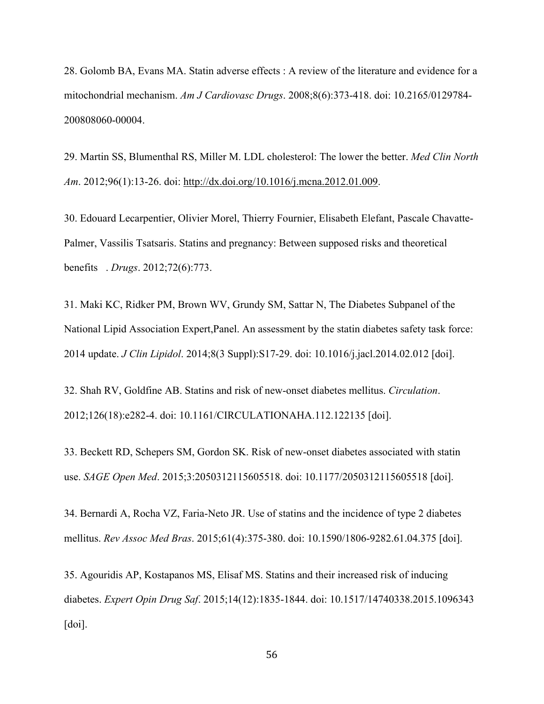28. Golomb BA, Evans MA. Statin adverse effects : A review of the literature and evidence for a mitochondrial mechanism. *Am J Cardiovasc Drugs*. 2008;8(6):373-418. doi: 10.2165/0129784- 200808060-00004.

29. Martin SS, Blumenthal RS, Miller M. LDL cholesterol: The lower the better. *Med Clin North Am*. 2012;96(1):13-26. doi: http://dx.doi.org/10.1016/j.mcna.2012.01.009.

30. Edouard Lecarpentier, Olivier Morel, Thierry Fournier, Elisabeth Elefant, Pascale Chavatte-Palmer, Vassilis Tsatsaris. Statins and pregnancy: Between supposed risks and theoretical benefits . *Drugs*. 2012;72(6):773.

31. Maki KC, Ridker PM, Brown WV, Grundy SM, Sattar N, The Diabetes Subpanel of the National Lipid Association Expert,Panel. An assessment by the statin diabetes safety task force: 2014 update. *J Clin Lipidol*. 2014;8(3 Suppl):S17-29. doi: 10.1016/j.jacl.2014.02.012 [doi].

32. Shah RV, Goldfine AB. Statins and risk of new-onset diabetes mellitus. *Circulation*. 2012;126(18):e282-4. doi: 10.1161/CIRCULATIONAHA.112.122135 [doi].

33. Beckett RD, Schepers SM, Gordon SK. Risk of new-onset diabetes associated with statin use. *SAGE Open Med*. 2015;3:2050312115605518. doi: 10.1177/2050312115605518 [doi].

34. Bernardi A, Rocha VZ, Faria-Neto JR. Use of statins and the incidence of type 2 diabetes mellitus. *Rev Assoc Med Bras*. 2015;61(4):375-380. doi: 10.1590/1806-9282.61.04.375 [doi].

35. Agouridis AP, Kostapanos MS, Elisaf MS. Statins and their increased risk of inducing diabetes. *Expert Opin Drug Saf*. 2015;14(12):1835-1844. doi: 10.1517/14740338.2015.1096343 [doi].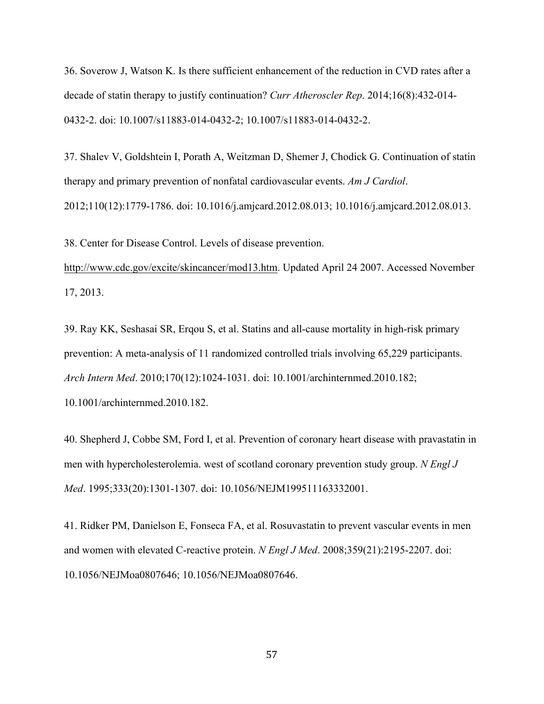36. Soverow J, Watson K. Is there sufficient enhancement of the reduction in CVD rates after a decade of statin therapy to justify continuation? *Curr Atheroscler Rep*. 2014;16(8):432-014- 0432-2. doi: 10.1007/s11883-014-0432-2; 10.1007/s11883-014-0432-2.

37. Shalev V, Goldshtein I, Porath A, Weitzman D, Shemer J, Chodick G. Continuation of statin therapy and primary prevention of nonfatal cardiovascular events. *Am J Cardiol*. 2012;110(12):1779-1786. doi: 10.1016/j.amjcard.2012.08.013; 10.1016/j.amjcard.2012.08.013.

38. Center for Disease Control. Levels of disease prevention.

http://www.cdc.gov/excite/skincancer/mod13.htm. Updated April 24 2007. Accessed November 17, 2013.

39. Ray KK, Seshasai SR, Erqou S, et al. Statins and all-cause mortality in high-risk primary prevention: A meta-analysis of 11 randomized controlled trials involving 65,229 participants. *Arch Intern Med*. 2010;170(12):1024-1031. doi: 10.1001/archinternmed.2010.182; 10.1001/archinternmed.2010.182.

40. Shepherd J, Cobbe SM, Ford I, et al. Prevention of coronary heart disease with pravastatin in men with hypercholesterolemia. west of scotland coronary prevention study group. *N Engl J Med*. 1995;333(20):1301-1307. doi: 10.1056/NEJM199511163332001.

41. Ridker PM, Danielson E, Fonseca FA, et al. Rosuvastatin to prevent vascular events in men and women with elevated C-reactive protein. *N Engl J Med*. 2008;359(21):2195-2207. doi: 10.1056/NEJMoa0807646; 10.1056/NEJMoa0807646.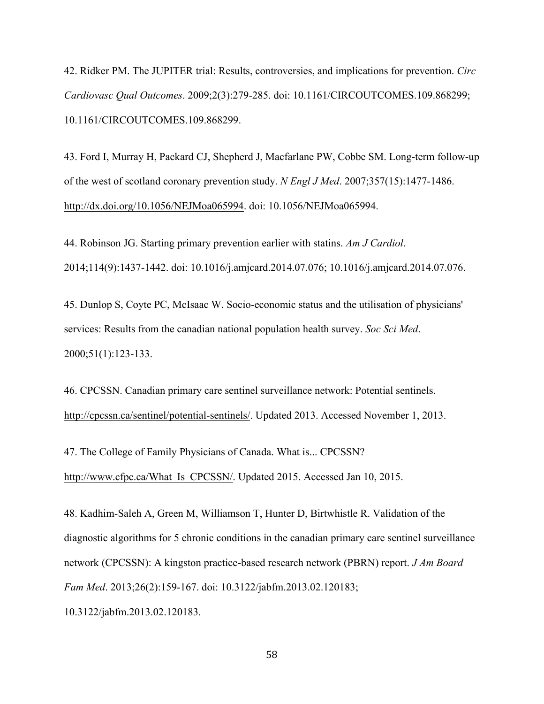42. Ridker PM. The JUPITER trial: Results, controversies, and implications for prevention. *Circ Cardiovasc Qual Outcomes*. 2009;2(3):279-285. doi: 10.1161/CIRCOUTCOMES.109.868299; 10.1161/CIRCOUTCOMES.109.868299.

43. Ford I, Murray H, Packard CJ, Shepherd J, Macfarlane PW, Cobbe SM. Long-term follow-up of the west of scotland coronary prevention study. *N Engl J Med*. 2007;357(15):1477-1486. http://dx.doi.org/10.1056/NEJMoa065994. doi: 10.1056/NEJMoa065994.

44. Robinson JG. Starting primary prevention earlier with statins. *Am J Cardiol*. 2014;114(9):1437-1442. doi: 10.1016/j.amjcard.2014.07.076; 10.1016/j.amjcard.2014.07.076.

45. Dunlop S, Coyte PC, McIsaac W. Socio-economic status and the utilisation of physicians' services: Results from the canadian national population health survey. *Soc Sci Med*. 2000;51(1):123-133.

46. CPCSSN. Canadian primary care sentinel surveillance network: Potential sentinels. http://cpcssn.ca/sentinel/potential-sentinels/. Updated 2013. Accessed November 1, 2013.

47. The College of Family Physicians of Canada. What is... CPCSSN? http://www.cfpc.ca/What\_Is\_CPCSSN/. Updated 2015. Accessed Jan 10, 2015.

48. Kadhim-Saleh A, Green M, Williamson T, Hunter D, Birtwhistle R. Validation of the diagnostic algorithms for 5 chronic conditions in the canadian primary care sentinel surveillance network (CPCSSN): A kingston practice-based research network (PBRN) report. *J Am Board Fam Med*. 2013;26(2):159-167. doi: 10.3122/jabfm.2013.02.120183; 10.3122/jabfm.2013.02.120183.